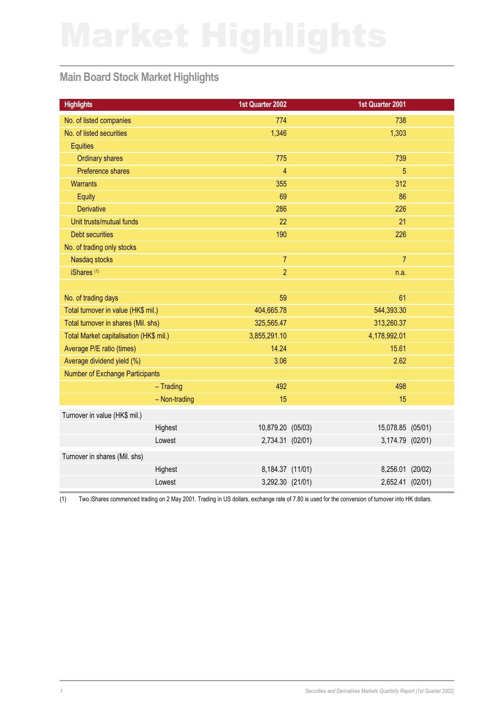## **Main Board Stock Market Highlights**

| <b>Highlights</b>                       |               | 1st Quarter 2002  | 1st Quarter 2001  |  |
|-----------------------------------------|---------------|-------------------|-------------------|--|
| No. of listed companies                 |               | 774               | 738               |  |
| No. of listed securities                |               | 1,346             | 1,303             |  |
| <b>Equities</b>                         |               |                   |                   |  |
| <b>Ordinary shares</b>                  |               | 775               | 739               |  |
| Preference shares                       |               | $\overline{4}$    | 5                 |  |
| <b>Warrants</b>                         |               | 355               | 312               |  |
| Equity                                  |               | 69                | 86                |  |
| <b>Derivative</b>                       |               | 286               | 226               |  |
| Unit trusts/mutual funds                |               | 22                | 21                |  |
| <b>Debt securities</b>                  |               | 190               | 226               |  |
| No. of trading only stocks              |               |                   |                   |  |
| Nasdaq stocks                           |               | $\overline{7}$    | $\overline{7}$    |  |
| iShares <sup>(1)</sup>                  |               | $\overline{2}$    | n.a.              |  |
|                                         |               |                   |                   |  |
| No. of trading days                     |               | 59                | 61                |  |
| Total turnover in value (HK\$ mil.)     |               | 404,665.78        | 544,393.30        |  |
| Total turnover in shares (Mil. shs)     |               | 325,565.47        | 313,260.37        |  |
| Total Market capitalisation (HK\$ mil.) |               | 3,855,291.10      | 4,178,992.01      |  |
| Average P/E ratio (times)               |               | 14.24             | 15.61             |  |
| Average dividend yield (%)              |               | 3.06              | 2.62              |  |
| Number of Exchange Participants         |               |                   |                   |  |
|                                         | $-$ Trading   | 492               | 498               |  |
|                                         | - Non-trading | 15                | 15                |  |
| Turnover in value (HK\$ mil.)           |               |                   |                   |  |
|                                         | Highest       | 10,879.20 (05/03) | 15,078.85 (05/01) |  |
|                                         | Lowest        | 2,734.31 (02/01)  | 3,174.79 (02/01)  |  |
| Turnover in shares (Mil. shs)           |               |                   |                   |  |
|                                         | Highest       | 8,184.37 (11/01)  | 8,256.01 (20/02)  |  |
|                                         | Lowest        | 3,292.30 (21/01)  | 2,652.41 (02/01)  |  |
|                                         |               |                   |                   |  |

(1) Two iShares commenced trading on 2 May 2001. Trading in US dollars, exchange rate of 7.80 is used for the conversion of turnover into HK dollars.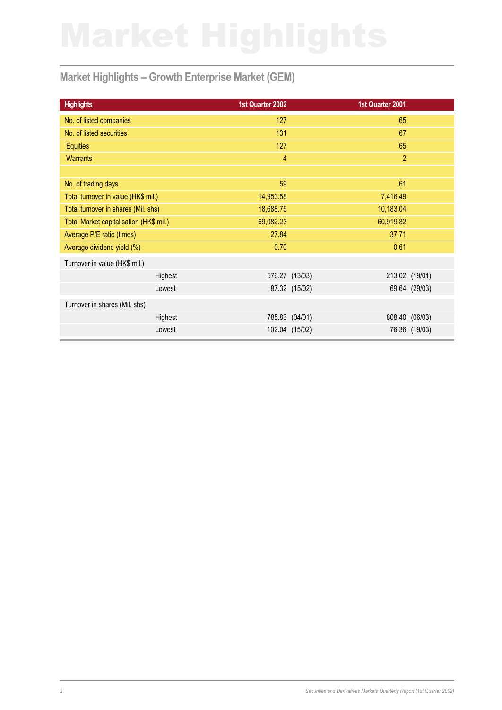# **Market Highlights – Growth Enterprise Market (GEM)**

| 1st Quarter 2002 | 1st Quarter 2001                                                    |               |
|------------------|---------------------------------------------------------------------|---------------|
| 127              | 65                                                                  |               |
| 131              | 67                                                                  |               |
| 127              | 65                                                                  |               |
| $\overline{4}$   | $\overline{2}$                                                      |               |
|                  |                                                                     |               |
| 59               | 61                                                                  |               |
| 14,953.58        | 7,416.49                                                            |               |
| 18,688.75        | 10,183.04                                                           |               |
| 69,082.23        | 60,919.82                                                           |               |
| 27.84            | 37.71                                                               |               |
| 0.70             | 0.61                                                                |               |
|                  |                                                                     |               |
|                  | 213.02 (19/01)                                                      |               |
|                  |                                                                     | 69.64 (29/03) |
|                  |                                                                     |               |
|                  | 808.40                                                              | (06/03)       |
|                  |                                                                     | 76.36 (19/03) |
|                  | 576.27 (13/03)<br>87.32 (15/02)<br>785.83 (04/01)<br>102.04 (15/02) |               |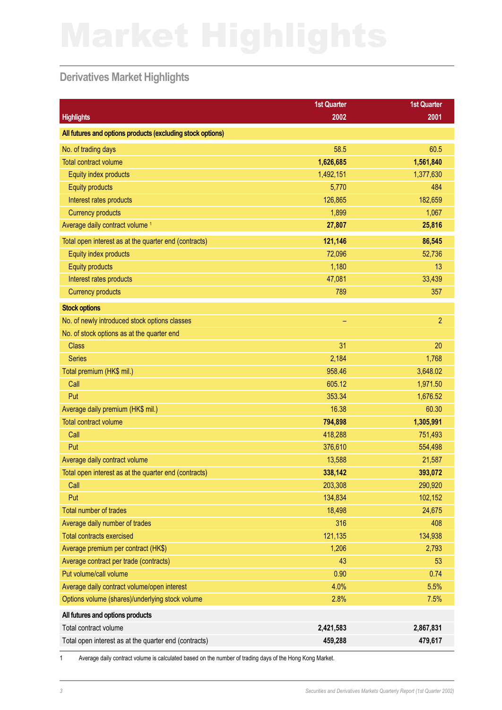## **Derivatives Market Highlights**

|                                                            | <b>1st Quarter</b> | <b>1st Quarter</b> |
|------------------------------------------------------------|--------------------|--------------------|
| <b>Highlights</b>                                          | 2002               | 2001               |
| All futures and options products (excluding stock options) |                    |                    |
| No. of trading days                                        | 58.5               | 60.5               |
| <b>Total contract volume</b>                               | 1,626,685          | 1,561,840          |
| Equity index products                                      | 1,492,151          | 1,377,630          |
| <b>Equity products</b>                                     | 5,770              | 484                |
| Interest rates products                                    | 126,865            | 182,659            |
| <b>Currency products</b>                                   | 1,899              | 1,067              |
| Average daily contract volume <sup>1</sup>                 | 27,807             | 25,816             |
| Total open interest as at the quarter end (contracts)      | 121,146            | 86,545             |
| Equity index products                                      | 72,096             | 52,736             |
| <b>Equity products</b>                                     | 1,180              | 13                 |
| Interest rates products                                    | 47,081             | 33,439             |
| <b>Currency products</b>                                   | 789                | 357                |
| <b>Stock options</b>                                       |                    |                    |
| No. of newly introduced stock options classes              | ÷                  | $\overline{2}$     |
| No. of stock options as at the quarter end                 |                    |                    |
| <b>Class</b>                                               | 31                 | 20                 |
| <b>Series</b>                                              | 2,184              | 1,768              |
| Total premium (HK\$ mil.)                                  | 958.46             | 3,648.02           |
| Call                                                       | 605.12             | 1,971.50           |
| Put                                                        | 353.34             | 1,676.52           |
| Average daily premium (HK\$ mil.)                          | 16.38              | 60.30              |
| <b>Total contract volume</b>                               | 794,898            | 1,305,991          |
| Call                                                       | 418,288            | 751,493            |
| Put                                                        | 376,610            | 554,498            |
| Average daily contract volume                              | 13,588             | 21,587             |
| Total open interest as at the quarter end (contracts)      | 338,142            | 393,072            |
| Call                                                       | 203,308            | 290,920            |
| Put                                                        | 134,834            | 102,152            |
| Total number of trades                                     | 18,498             | 24,675             |
| Average daily number of trades                             | 316                | 408                |
| <b>Total contracts exercised</b>                           | 121,135            | 134,938            |
| Average premium per contract (HK\$)                        | 1,206              | 2,793              |
| Average contract per trade (contracts)                     | 43                 | 53                 |
| Put volume/call volume                                     | 0.90               | 0.74               |
| Average daily contract volume/open interest                | 4.0%               | 5.5%               |
| Options volume (shares)/underlying stock volume            | 2.8%               | 7.5%               |
| All futures and options products                           |                    |                    |
| Total contract volume                                      | 2,421,583          | 2,867,831          |
| Total open interest as at the quarter end (contracts)      | 459,288            | 479,617            |

1 Average daily contract volume is calculated based on the number of trading days of the Hong Kong Market.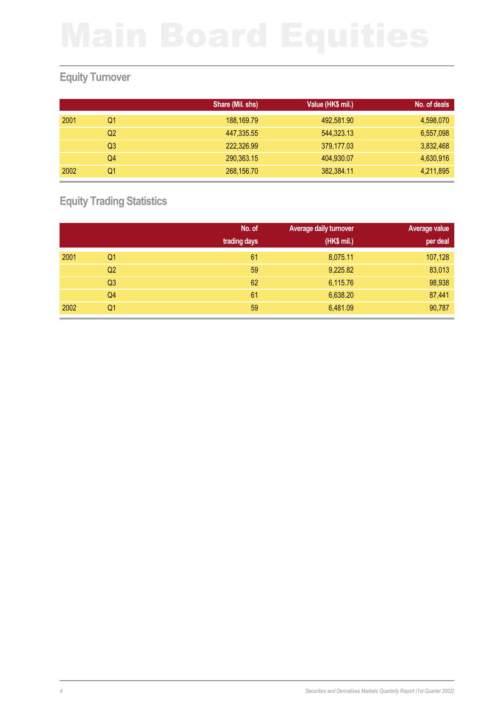# **Equity Turnover**

|      |                | Share (Mil. shs) | Value (HK\$ mil.) | No. of deals |
|------|----------------|------------------|-------------------|--------------|
| 2001 | Q1             | 188,169.79       | 492,581.90        | 4,598,070    |
|      | Q2             | 447,335.55       | 544,323.13        | 6,557,098    |
|      | Q <sub>3</sub> | 222,326.99       | 379,177.03        | 3,832,468    |
|      | Q4             | 290,363.15       | 404,930.07        | 4,630,916    |
| 2002 | Q1             | 268,156.70       | 382,384.11        | 4,211,895    |

**Equity Trading Statistics**

|      |    | No. of       | Average daily turnover | <b>Average value</b> |
|------|----|--------------|------------------------|----------------------|
|      |    | trading days | (HK\$ mil.)            | per deal             |
| 2001 | Q1 | 61           | 8,075.11               | 107,128              |
|      | Q2 | 59           | 9,225.82               | 83,013               |
|      | Q3 | 62           | 6,115.76               | 98,938               |
|      | Q4 | 61           | 6,638.20               | 87,441               |
| 2002 | Q1 | 59           | 6,481.09               | 90,787               |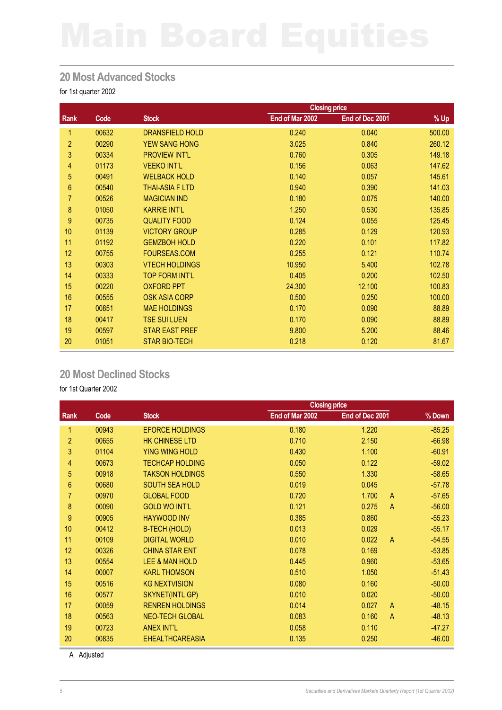### **20 Most Advanced Stocks**

for 1st quarter 2002

|                |       |                        | <b>Closing price</b> |                 |        |
|----------------|-------|------------------------|----------------------|-----------------|--------|
| Rank           | Code  | <b>Stock</b>           | End of Mar 2002      | End of Dec 2001 | % Up   |
| 1              | 00632 | <b>DRANSFIELD HOLD</b> | 0.240                | 0.040           | 500.00 |
| $\overline{2}$ | 00290 | <b>YEW SANG HONG</b>   | 3.025                | 0.840           | 260.12 |
| 3              | 00334 | <b>PROVIEW INT'L</b>   | 0.760                | 0.305           | 149.18 |
| 4              | 01173 | <b>VEEKO INT'L</b>     | 0.156                | 0.063           | 147.62 |
| 5              | 00491 | <b>WELBACK HOLD</b>    | 0.140                | 0.057           | 145.61 |
| 6              | 00540 | <b>THAI-ASIA F LTD</b> | 0.940                | 0.390           | 141.03 |
| $\overline{7}$ | 00526 | <b>MAGICIAN IND</b>    | 0.180                | 0.075           | 140.00 |
| 8              | 01050 | <b>KARRIE INT'L</b>    | 1.250                | 0.530           | 135.85 |
| 9              | 00735 | <b>QUALITY FOOD</b>    | 0.124                | 0.055           | 125.45 |
| 10             | 01139 | <b>VICTORY GROUP</b>   | 0.285                | 0.129           | 120.93 |
| 11             | 01192 | <b>GEMZBOH HOLD</b>    | 0.220                | 0.101           | 117.82 |
| 12             | 00755 | FOURSEAS.COM           | 0.255                | 0.121           | 110.74 |
| 13             | 00303 | <b>VTECH HOLDINGS</b>  | 10.950               | 5.400           | 102.78 |
| 14             | 00333 | <b>TOP FORM INT'L</b>  | 0.405                | 0.200           | 102.50 |
| 15             | 00220 | <b>OXFORD PPT</b>      | 24.300               | 12.100          | 100.83 |
| 16             | 00555 | <b>OSK ASIA CORP</b>   | 0.500                | 0.250           | 100.00 |
| 17             | 00851 | <b>MAE HOLDINGS</b>    | 0.170                | 0.090           | 88.89  |
| 18             | 00417 | <b>TSE SUI LUEN</b>    | 0.170                | 0.090           | 88.89  |
| 19             | 00597 | <b>STAR EAST PREF</b>  | 9.800                | 5.200           | 88.46  |
| 20             | 01051 | <b>STAR BIO-TECH</b>   | 0.218                | 0.120           | 81.67  |

## **20 Most Declined Stocks**

for 1st Quarter 2002

|                |       | <b>Closing price</b>      |                 |                         |          |
|----------------|-------|---------------------------|-----------------|-------------------------|----------|
| Rank           | Code  | <b>Stock</b>              | End of Mar 2002 | End of Dec 2001         | % Down   |
| 1              | 00943 | <b>EFORCE HOLDINGS</b>    | 0.180           | 1.220                   | $-85.25$ |
| $\overline{2}$ | 00655 | <b>HK CHINESE LTD</b>     | 0.710           | 2.150                   | $-66.98$ |
| 3              | 01104 | <b>YING WING HOLD</b>     | 0.430           | 1.100                   | $-60.91$ |
| 4              | 00673 | <b>TECHCAP HOLDING</b>    | 0.050           | 0.122                   | $-59.02$ |
| 5              | 00918 | <b>TAKSON HOLDINGS</b>    | 0.550           | 1.330                   | $-58.65$ |
| 6              | 00680 | <b>SOUTH SEA HOLD</b>     | 0.019           | 0.045                   | $-57.78$ |
| $\overline{7}$ | 00970 | <b>GLOBAL FOOD</b>        | 0.720           | 1.700<br>A              | $-57.65$ |
| 8              | 00090 | <b>GOLD WO INT'L</b>      | 0.121           | 0.275<br>A              | $-56.00$ |
| 9              | 00905 | <b>HAYWOOD INV</b>        | 0.385           | 0.860                   | $-55.23$ |
| 10             | 00412 | <b>B-TECH (HOLD)</b>      | 0.013           | 0.029                   | $-55.17$ |
| 11             | 00109 | <b>DIGITAL WORLD</b>      | 0.010           | 0.022<br>$\overline{A}$ | $-54.55$ |
| 12             | 00326 | <b>CHINA STAR ENT</b>     | 0.078           | 0.169                   | $-53.85$ |
| 13             | 00554 | <b>LEE &amp; MAN HOLD</b> | 0.445           | 0.960                   | $-53.65$ |
| 14             | 00007 | <b>KARL THOMSON</b>       | 0.510           | 1.050                   | $-51.43$ |
| 15             | 00516 | <b>KG NEXTVISION</b>      | 0.080           | 0.160                   | $-50.00$ |
| 16             | 00577 | <b>SKYNET(INTL GP)</b>    | 0.010           | 0.020                   | $-50.00$ |
| 17             | 00059 | <b>RENREN HOLDINGS</b>    | 0.014           | 0.027<br>A              | $-48.15$ |
| 18             | 00563 | <b>NEO-TECH GLOBAL</b>    | 0.083           | 0.160<br>$\mathsf{A}$   | $-48.13$ |
| 19             | 00723 | <b>ANEX INT'L</b>         | 0.058           | 0.110                   | $-47.27$ |
| 20             | 00835 | <b>EHEALTHCAREASIA</b>    | 0.135           | 0.250                   | $-46.00$ |

A Adjusted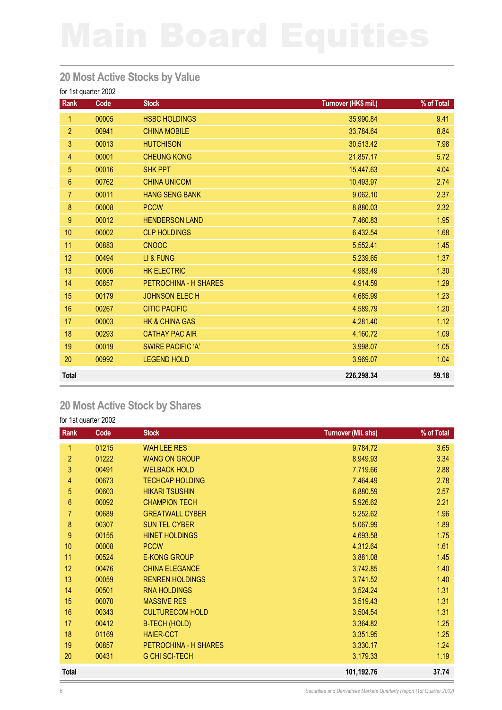### **20 Most Active Stocks by Value**

for 1st quarter 2002

| Rank            | Code  | <b>Stock</b>              | Turnover (HK\$ mil.) | % of Total |
|-----------------|-------|---------------------------|----------------------|------------|
| 1               | 00005 | <b>HSBC HOLDINGS</b>      | 35,990.84            | 9.41       |
| $\overline{2}$  | 00941 | <b>CHINA MOBILE</b>       | 33,784.64            | 8.84       |
| 3               | 00013 | <b>HUTCHISON</b>          | 30,513.42            | 7.98       |
| 4               | 00001 | <b>CHEUNG KONG</b>        | 21,857.17            | 5.72       |
| 5               | 00016 | <b>SHK PPT</b>            | 15,447.63            | 4.04       |
| $6\phantom{.}6$ | 00762 | <b>CHINA UNICOM</b>       | 10,493.97            | 2.74       |
| $\overline{7}$  | 00011 | <b>HANG SENG BANK</b>     | 9,062.10             | 2.37       |
| $\bf 8$         | 00008 | <b>PCCW</b>               | 8,880.03             | 2.32       |
| 9               | 00012 | <b>HENDERSON LAND</b>     | 7,460.83             | 1.95       |
| 10              | 00002 | <b>CLP HOLDINGS</b>       | 6,432.54             | 1.68       |
| 11              | 00883 | <b>CNOOC</b>              | 5,552.41             | 1.45       |
| 12              | 00494 | LI & FUNG                 | 5,239.65             | 1.37       |
| 13              | 00006 | <b>HK ELECTRIC</b>        | 4,983.49             | 1.30       |
| 14              | 00857 | PETROCHINA - H SHARES     | 4,914.59             | 1.29       |
| 15              | 00179 | <b>JOHNSON ELECH</b>      | 4,685.99             | 1.23       |
| 16              | 00267 | <b>CITIC PACIFIC</b>      | 4,589.79             | 1.20       |
| 17              | 00003 | <b>HK &amp; CHINA GAS</b> | 4,281.40             | 1.12       |
| 18              | 00293 | <b>CATHAY PAC AIR</b>     | 4,160.72             | 1.09       |
| 19              | 00019 | <b>SWIRE PACIFIC 'A'</b>  | 3,998.07             | 1.05       |
| 20              | 00992 | <b>LEGEND HOLD</b>        | 3,969.07             | 1.04       |
| <b>Total</b>    |       |                           | 226,298.34           | 59.18      |

## **20 Most Active Stock by Shares**

| Rank             | Code  | <b>Stock</b>           | <b>Turnover (Mil. shs)</b> | % of Total |
|------------------|-------|------------------------|----------------------------|------------|
| 1                | 01215 | <b>WAH LEE RES</b>     | 9,784.72                   | 3.65       |
| $\overline{2}$   | 01222 | <b>WANG ON GROUP</b>   | 8,949.93                   | 3.34       |
| 3                | 00491 | <b>WELBACK HOLD</b>    | 7,719.66                   | 2.88       |
| 4                | 00673 | <b>TECHCAP HOLDING</b> | 7,464.49                   | 2.78       |
| 5                | 00603 | <b>HIKARI TSUSHIN</b>  | 6,880.59                   | 2.57       |
| 6                | 00092 | <b>CHAMPION TECH</b>   | 5,926.62                   | 2.21       |
| $\overline{7}$   | 00689 | <b>GREATWALL CYBER</b> | 5,252.62                   | 1.96       |
| 8                | 00307 | <b>SUN TEL CYBER</b>   | 5,067.99                   | 1.89       |
| $\boldsymbol{9}$ | 00155 | <b>HINET HOLDINGS</b>  | 4,693.58                   | 1.75       |
| 10               | 00008 | <b>PCCW</b>            | 4,312.64                   | 1.61       |
| 11               | 00524 | <b>E-KONG GROUP</b>    | 3,881.08                   | 1.45       |
| 12               | 00476 | <b>CHINA ELEGANCE</b>  | 3,742.85                   | 1.40       |
| 13               | 00059 | <b>RENREN HOLDINGS</b> | 3,741.52                   | 1.40       |
| 14               | 00501 | <b>RNA HOLDINGS</b>    | 3,524.24                   | 1.31       |
| 15               | 00070 | <b>MASSIVE RES</b>     | 3,519.43                   | 1.31       |
| 16               | 00343 | <b>CULTURECOM HOLD</b> | 3,504.54                   | 1.31       |
| 17               | 00412 | <b>B-TECH (HOLD)</b>   | 3,364.82                   | 1.25       |
| 18               | 01169 | <b>HAIER-CCT</b>       | 3,351.95                   | 1.25       |
| 19               | 00857 | PETROCHINA - H SHARES  | 3,330.17                   | 1.24       |
| 20               | 00431 | <b>G CHI SCI-TECH</b>  | 3,179.33                   | 1.19       |
| <b>Total</b>     |       |                        | 101,192.76                 | 37.74      |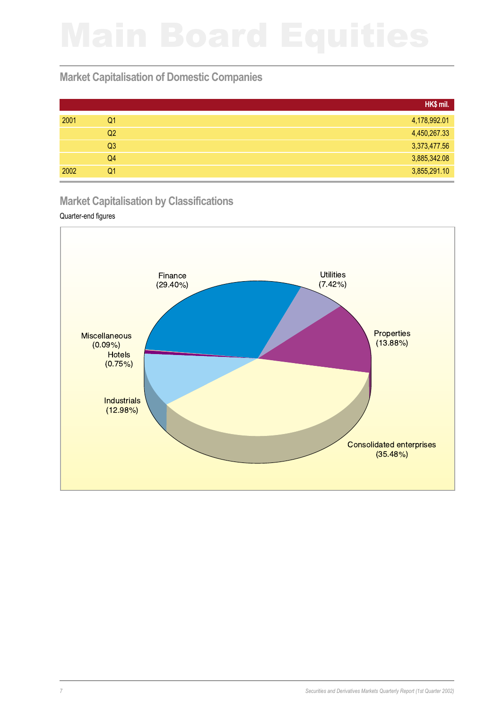## **Market Capitalisation of Domestic Companies**

|      |                | HK\$ mil.    |
|------|----------------|--------------|
| 2001 | Q1             | 4,178,992.01 |
|      | Q2             | 4,450,267.33 |
|      | Q <sub>3</sub> | 3,373,477.56 |
|      | Q4             | 3,885,342.08 |
| 2002 | Q1             | 3,855,291.10 |

### **Market Capitalisation by Classifications**

### Quarter-end figures

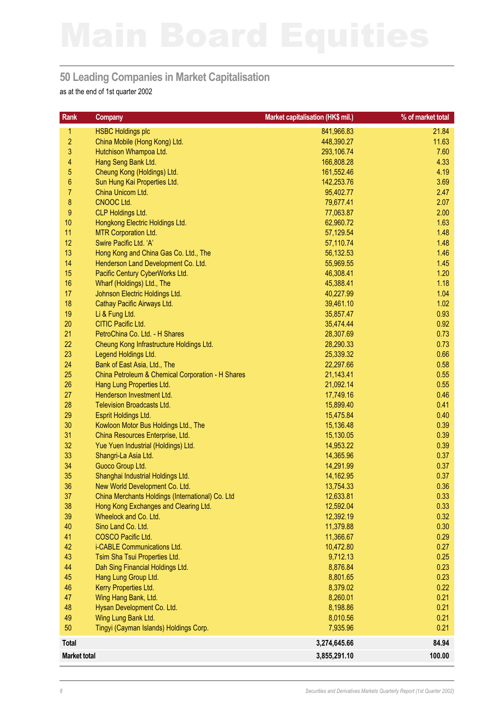### **50 Leading Companies in Market Capitalisation**

as at the end of 1st quarter 2002

| <b>Rank</b>         | <b>Company</b>                                                 | Market capitalisation (HK\$ mil.) | % of market total |
|---------------------|----------------------------------------------------------------|-----------------------------------|-------------------|
| 1                   | <b>HSBC Holdings plc</b>                                       | 841,966.83                        | 21.84             |
| $\overline{c}$      | China Mobile (Hong Kong) Ltd.                                  | 448,390.27                        | 11.63             |
| 3                   | Hutchison Whampoa Ltd.                                         | 293,106.74                        | 7.60              |
| 4                   | Hang Seng Bank Ltd.                                            | 166,808.28                        | 4.33              |
| 5                   | Cheung Kong (Holdings) Ltd.                                    | 161,552.46                        | 4.19              |
| $\boldsymbol{6}$    | Sun Hung Kai Properties Ltd.                                   | 142,253.76                        | 3.69              |
| $\overline{7}$      | China Unicom Ltd.                                              | 95,402.77                         | 2.47              |
| 8                   | CNOOC Ltd.                                                     | 79,677.41                         | 2.07              |
| $\boldsymbol{9}$    | <b>CLP Holdings Ltd.</b>                                       | 77,063.87                         | 2.00              |
| 10                  | Hongkong Electric Holdings Ltd.                                | 62,960.72                         | 1.63              |
| 11                  | <b>MTR Corporation Ltd.</b>                                    | 57,129.54                         | 1.48              |
| 12                  | Swire Pacific Ltd. 'A'                                         | 57,110.74                         | 1.48              |
| 13                  | Hong Kong and China Gas Co. Ltd., The                          | 56,132.53                         | 1.46              |
| 14                  | Henderson Land Development Co. Ltd.                            | 55,969.55                         | 1.45              |
| 15                  | Pacific Century CyberWorks Ltd.                                | 46,308.41                         | 1.20              |
| 16                  | Wharf (Holdings) Ltd., The                                     | 45,388.41                         | 1.18              |
| 17                  | Johnson Electric Holdings Ltd.                                 | 40,227.99                         | 1.04              |
| 18                  | Cathay Pacific Airways Ltd.                                    | 39,461.10                         | 1.02              |
| 19                  | Li & Fung Ltd.                                                 | 35,857.47                         | 0.93              |
| 20                  | CITIC Pacific Ltd.                                             | 35,474.44                         | 0.92              |
| 21                  | PetroChina Co. Ltd. - H Shares                                 | 28,307.69                         | 0.73              |
| 22                  | Cheung Kong Infrastructure Holdings Ltd.                       | 28,290.33                         | 0.73              |
| 23                  | Legend Holdings Ltd.                                           | 25,339.32                         | 0.66              |
| 24                  | Bank of East Asia, Ltd., The                                   | 22,297.66                         | 0.58              |
| 25                  | China Petroleum & Chemical Corporation - H Shares              | 21,143.41                         | 0.55              |
| 26                  | Hang Lung Properties Ltd.                                      | 21,092.14                         | 0.55              |
| 27                  | Henderson Investment Ltd.                                      | 17,749.16                         | 0.46              |
| 28                  | <b>Television Broadcasts Ltd.</b>                              | 15,899.40                         | 0.41              |
| 29                  | Esprit Holdings Ltd.                                           | 15,475.84                         | 0.40              |
| 30                  | Kowloon Motor Bus Holdings Ltd., The                           | 15,136.48                         | 0.39              |
| 31                  | China Resources Enterprise, Ltd.                               | 15,130.05                         | 0.39              |
| 32                  | Yue Yuen Industrial (Holdings) Ltd.                            | 14,953.22                         | 0.39              |
| 33                  | Shangri-La Asia Ltd.                                           | 14,365.96                         | 0.37              |
| 34<br>35            | Guoco Group Ltd.                                               | 14,291.99                         | 0.37              |
| 36                  | Shanghai Industrial Holdings Ltd.                              | 14,162.95                         | 0.37              |
|                     | New World Development Co. Ltd.                                 | 13,754.33                         | 0.36              |
| 37<br>38            | China Merchants Holdings (International) Co. Ltd               | 12,633.81<br>12,592.04            | 0.33<br>0.33      |
| 39                  | Hong Kong Exchanges and Clearing Ltd.<br>Wheelock and Co. Ltd. | 12,392.19                         | 0.32              |
| 40                  | Sino Land Co. Ltd.                                             | 11,379.88                         | 0.30              |
| 41                  | COSCO Pacific Ltd.                                             | 11,366.67                         | 0.29              |
| 42                  | i-CABLE Communications Ltd.                                    | 10,472.80                         | 0.27              |
| 43                  | Tsim Sha Tsui Properties Ltd.                                  | 9,712.13                          | 0.25              |
| 44                  | Dah Sing Financial Holdings Ltd.                               | 8,876.84                          | 0.23              |
| 45                  | Hang Lung Group Ltd.                                           | 8,801.65                          | 0.23              |
| 46                  | Kerry Properties Ltd.                                          | 8,379.02                          | 0.22              |
| 47                  | Wing Hang Bank, Ltd.                                           | 8,260.01                          | 0.21              |
| 48                  | Hysan Development Co. Ltd.                                     | 8,198.86                          | 0.21              |
| 49                  | Wing Lung Bank Ltd.                                            | 8,010.56                          | 0.21              |
| 50                  | Tingyi (Cayman Islands) Holdings Corp.                         | 7,935.96                          | 0.21              |
| <b>Total</b>        |                                                                | 3,274,645.66                      | 84.94             |
| <b>Market total</b> |                                                                | 3,855,291.10                      | 100.00            |
|                     |                                                                |                                   |                   |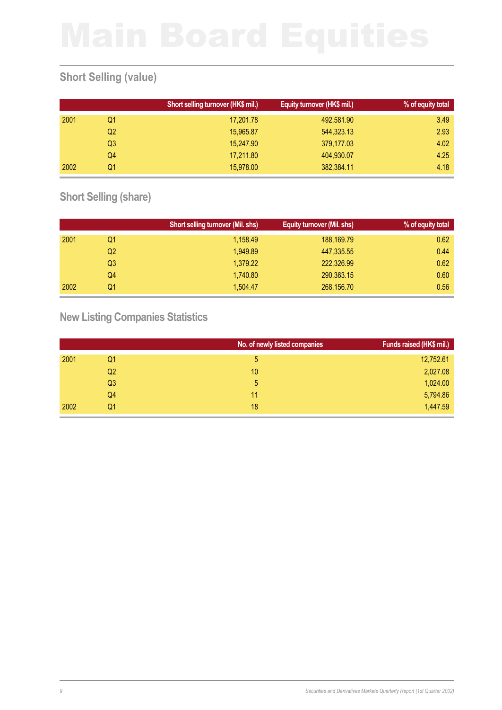# **Short Selling (value)**

|      |                | Short selling turnover (HK\$ mil.) | Equity turnover (HK\$ mil.) | % of equity total |
|------|----------------|------------------------------------|-----------------------------|-------------------|
| 2001 | Q1             | 17,201.78                          | 492,581.90                  | 3.49              |
|      | Q <sub>2</sub> | 15,965.87                          | 544,323.13                  | 2.93              |
|      | Q3             | 15,247.90                          | 379,177.03                  | 4.02              |
|      | Q4             | 17,211.80                          | 404,930.07                  | 4.25              |
| 2002 | Q1             | 15,978,00                          | 382,384.11                  | 4.18              |

## **Short Selling (share)**

|      |    | Short selling turnover (Mil. shs) | Equity turnover (Mil. shs) | % of equity total |
|------|----|-----------------------------------|----------------------------|-------------------|
| 2001 | Q1 | 1,158.49                          | 188,169.79                 | 0.62              |
|      | Q2 | 1,949.89                          | 447,335.55                 | 0.44              |
|      | Q3 | 1,379.22                          | 222,326.99                 | 0.62              |
|      | Q4 | 1.740.80                          | 290,363.15                 | 0.60              |
| 2002 | Q1 | 1.504.47                          | 268,156.70                 | 0.56              |

## **New Listing Companies Statistics**

|      |                | No. of newly listed companies | Funds raised (HK\$ mil.) |
|------|----------------|-------------------------------|--------------------------|
| 2001 | Q1             | 5                             | 12,752.61                |
|      | Q2             | 10                            | 2,027.08                 |
|      | Q <sub>3</sub> | 5                             | 1,024.00                 |
|      | Q4             | 11                            | 5,794.86                 |
| 2002 | Q1             | 18                            | 1,447.59                 |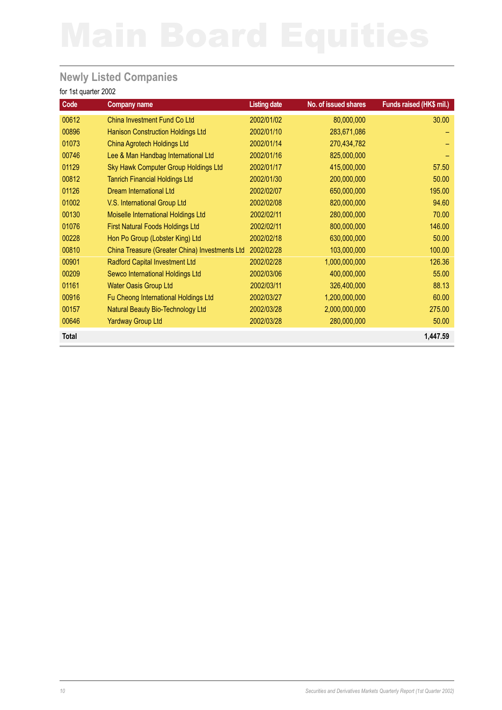## **Newly Listed Companies**

| Code  | <b>Company name</b>                            | <b>Listing date</b> | No. of issued shares | Funds raised (HK\$ mil.) |
|-------|------------------------------------------------|---------------------|----------------------|--------------------------|
| 00612 | China Investment Fund Co Ltd                   | 2002/01/02          | 80,000,000           | 30.00                    |
| 00896 | <b>Hanison Construction Holdings Ltd</b>       | 2002/01/10          | 283,671,086          |                          |
| 01073 | <b>China Agrotech Holdings Ltd</b>             | 2002/01/14          | 270,434,782          |                          |
| 00746 | Lee & Man Handbag International Ltd            | 2002/01/16          | 825,000,000          |                          |
| 01129 | Sky Hawk Computer Group Holdings Ltd           | 2002/01/17          | 415,000,000          | 57.50                    |
| 00812 | <b>Tanrich Financial Holdings Ltd</b>          | 2002/01/30          | 200,000,000          | 50.00                    |
| 01126 | <b>Dream International Ltd</b>                 | 2002/02/07          | 650,000,000          | 195.00                   |
| 01002 | V.S. International Group Ltd                   | 2002/02/08          | 820,000,000          | 94.60                    |
| 00130 | Moiselle International Holdings Ltd            | 2002/02/11          | 280,000,000          | 70.00                    |
| 01076 | <b>First Natural Foods Holdings Ltd</b>        | 2002/02/11          | 800,000,000          | 146.00                   |
| 00228 | Hon Po Group (Lobster King) Ltd                | 2002/02/18          | 630,000,000          | 50.00                    |
| 00810 | China Treasure (Greater China) Investments Ltd | 2002/02/28          | 103,000,000          | 100.00                   |
| 00901 | Radford Capital Investment Ltd                 | 2002/02/28          | 1,000,000,000        | 126.36                   |
| 00209 | Sewco International Holdings Ltd               | 2002/03/06          | 400,000,000          | 55.00                    |
| 01161 | <b>Water Oasis Group Ltd</b>                   | 2002/03/11          | 326,400,000          | 88.13                    |
| 00916 | Fu Cheong International Holdings Ltd           | 2002/03/27          | 1,200,000,000        | 60.00                    |
| 00157 | Natural Beauty Bio-Technology Ltd              | 2002/03/28          | 2,000,000,000        | 275.00                   |
| 00646 | <b>Yardway Group Ltd</b>                       | 2002/03/28          | 280,000,000          | 50.00                    |
| Total |                                                |                     |                      | 1,447.59                 |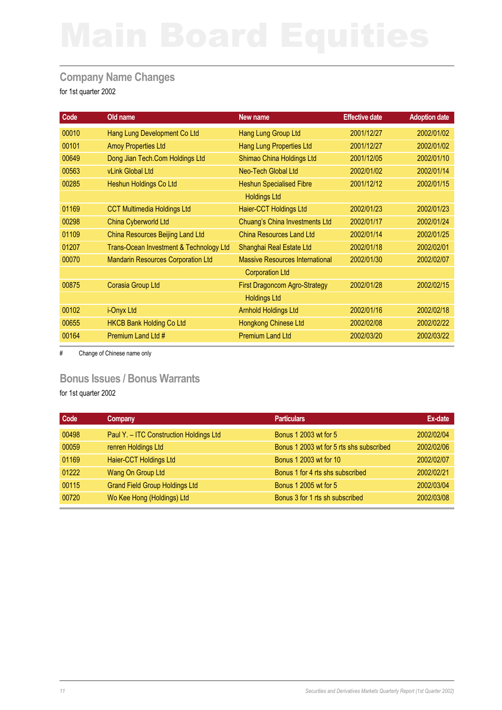### **Company Name Changes**

for 1st quarter 2002

| Code  | Old name                                  | New name                               | <b>Effective date</b> | <b>Adoption date</b> |
|-------|-------------------------------------------|----------------------------------------|-----------------------|----------------------|
| 00010 | Hang Lung Development Co Ltd              | Hang Lung Group Ltd                    | 2001/12/27            | 2002/01/02           |
| 00101 | <b>Amoy Properties Ltd</b>                | <b>Hang Lung Properties Ltd</b>        | 2001/12/27            | 2002/01/02           |
| 00649 | Dong Jian Tech.Com Holdings Ltd           | Shimao China Holdings Ltd              | 2001/12/05            | 2002/01/10           |
| 00563 | vLink Global Ltd                          | Neo-Tech Global Ltd                    | 2002/01/02            | 2002/01/14           |
| 00285 | Heshun Holdings Co Ltd                    | <b>Heshun Specialised Fibre</b>        | 2001/12/12            | 2002/01/15           |
|       |                                           | <b>Holdings Ltd</b>                    |                       |                      |
| 01169 | <b>CCT Multimedia Holdings Ltd</b>        | Haier-CCT Holdings Ltd                 | 2002/01/23            | 2002/01/23           |
| 00298 | China Cyberworld Ltd                      | Chuang's China Investments Ltd         | 2002/01/17            | 2002/01/24           |
| 01109 | China Resources Beijing Land Ltd          | <b>China Resources Land Ltd</b>        | 2002/01/14            | 2002/01/25           |
| 01207 | Trans-Ocean Investment & Technology Ltd   | Shanghai Real Estate Ltd               | 2002/01/18            | 2002/02/01           |
| 00070 | <b>Mandarin Resources Corporation Ltd</b> | <b>Massive Resources International</b> | 2002/01/30            | 2002/02/07           |
|       |                                           | <b>Corporation Ltd</b>                 |                       |                      |
| 00875 | Corasia Group Ltd                         | <b>First Dragoncom Agro-Strategy</b>   | 2002/01/28            | 2002/02/15           |
|       |                                           | <b>Holdings Ltd</b>                    |                       |                      |
| 00102 | i-Onyx Ltd                                | <b>Arnhold Holdings Ltd</b>            | 2002/01/16            | 2002/02/18           |
| 00655 | <b>HKCB Bank Holding Co Ltd</b>           | Hongkong Chinese Ltd                   | 2002/02/08            | 2002/02/22           |
| 00164 | Premium Land Ltd #                        | <b>Premium Land Ltd</b>                | 2002/03/20            | 2002/03/22           |

# Change of Chinese name only

### **Bonus Issues / Bonus Warrants**

| Code  | Company                                 | <b>Particulars</b>                       | Ex-date    |
|-------|-----------------------------------------|------------------------------------------|------------|
| 00498 | Paul Y. - ITC Construction Holdings Ltd | <b>Bonus 1 2003 wt for 5</b>             | 2002/02/04 |
| 00059 | renren Holdings Ltd                     | Bonus 1 2003 wt for 5 rts shs subscribed | 2002/02/06 |
| 01169 | Haier-CCT Holdings Ltd                  | Bonus 1 2003 wt for 10                   | 2002/02/07 |
| 01222 | Wang On Group Ltd                       | Bonus 1 for 4 rts shs subscribed         | 2002/02/21 |
| 00115 | <b>Grand Field Group Holdings Ltd</b>   | Bonus 1 2005 wt for 5                    | 2002/03/04 |
| 00720 | Wo Kee Hong (Holdings) Ltd              | Bonus 3 for 1 rts sh subscribed          | 2002/03/08 |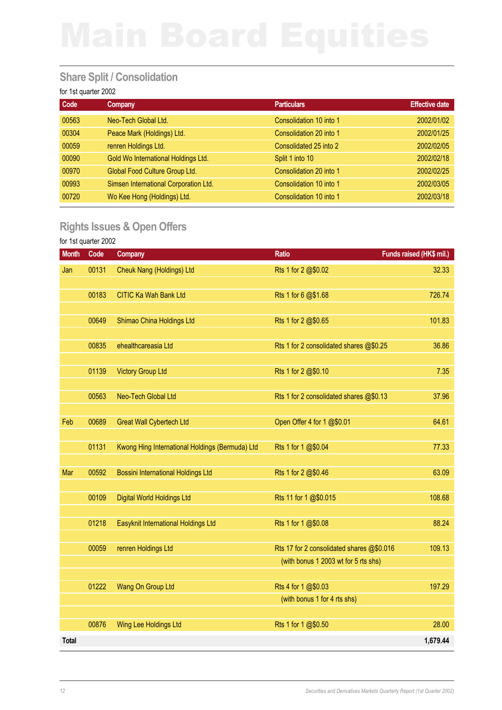## **Share Split / Consolidation**

### for 1st quarter 2002

| Code  | Company                               | <b>Particulars</b>      | <b>Effective date</b> |
|-------|---------------------------------------|-------------------------|-----------------------|
| 00563 | Neo-Tech Global Ltd.                  | Consolidation 10 into 1 | 2002/01/02            |
| 00304 | Peace Mark (Holdings) Ltd.            | Consolidation 20 into 1 | 2002/01/25            |
| 00059 | renren Holdings Ltd.                  | Consolidated 25 into 2  | 2002/02/05            |
| 00090 | Gold Wo International Holdings Ltd.   | Split 1 into 10         | 2002/02/18            |
| 00970 | Global Food Culture Group Ltd.        | Consolidation 20 into 1 | 2002/02/25            |
| 00993 | Simsen International Corporation Ltd. | Consolidation 10 into 1 | 2002/03/05            |
| 00720 | Wo Kee Hong (Holdings) Ltd.           | Consolidation 10 into 1 | 2002/03/18            |

## **Rights Issues & Open Offers**

| <b>Month</b> | Code  | <b>Company</b>                                  | <b>Ratio</b>                              | Funds raised (HK\$ mil.) |
|--------------|-------|-------------------------------------------------|-------------------------------------------|--------------------------|
| Jan          | 00131 | <b>Cheuk Nang (Holdings) Ltd</b>                | Rts 1 for 2 @\$0.02                       | 32.33                    |
|              |       |                                                 |                                           |                          |
|              | 00183 | <b>CITIC Ka Wah Bank Ltd</b>                    | Rts 1 for 6 @\$1.68                       | 726.74                   |
|              |       |                                                 |                                           |                          |
|              | 00649 | Shimao China Holdings Ltd                       | Rts 1 for 2 @\$0.65                       | 101.83                   |
|              |       |                                                 |                                           |                          |
|              | 00835 | ehealthcareasia Ltd                             | Rts 1 for 2 consolidated shares @\$0.25   | 36.86                    |
|              | 01139 | <b>Victory Group Ltd</b>                        | Rts 1 for 2 @\$0.10                       | 7.35                     |
|              |       |                                                 |                                           |                          |
|              | 00563 | Neo-Tech Global Ltd                             | Rts 1 for 2 consolidated shares @\$0.13   | 37.96                    |
|              |       |                                                 |                                           |                          |
| Feb          | 00689 | <b>Great Wall Cybertech Ltd</b>                 | Open Offer 4 for 1 @\$0.01                | 64.61                    |
|              |       |                                                 |                                           |                          |
|              | 01131 | Kwong Hing International Holdings (Bermuda) Ltd | Rts 1 for 1 @\$0.04                       | 77.33                    |
|              |       |                                                 |                                           |                          |
| Mar          | 00592 | <b>Bossini International Holdings Ltd</b>       | Rts 1 for 2 @\$0.46                       | 63.09                    |
|              | 00109 | <b>Digital World Holdings Ltd</b>               | Rts 11 for 1 @\$0.015                     | 108.68                   |
|              |       |                                                 |                                           |                          |
|              | 01218 | Easyknit International Holdings Ltd             | Rts 1 for 1 @\$0.08                       | 88.24                    |
|              |       |                                                 |                                           |                          |
|              | 00059 | renren Holdings Ltd                             | Rts 17 for 2 consolidated shares @\$0.016 | 109.13                   |
|              |       |                                                 | (with bonus 1 2003 wt for 5 rts shs)      |                          |
|              |       |                                                 |                                           |                          |
|              | 01222 | Wang On Group Ltd                               | Rts 4 for 1 @\$0.03                       | 197.29                   |
|              |       |                                                 | (with bonus 1 for 4 rts shs)              |                          |
|              | 00876 |                                                 |                                           | 28.00                    |
|              |       | Wing Lee Holdings Ltd                           | Rts 1 for 1 @\$0.50                       |                          |
| Total        |       |                                                 |                                           | 1,679.44                 |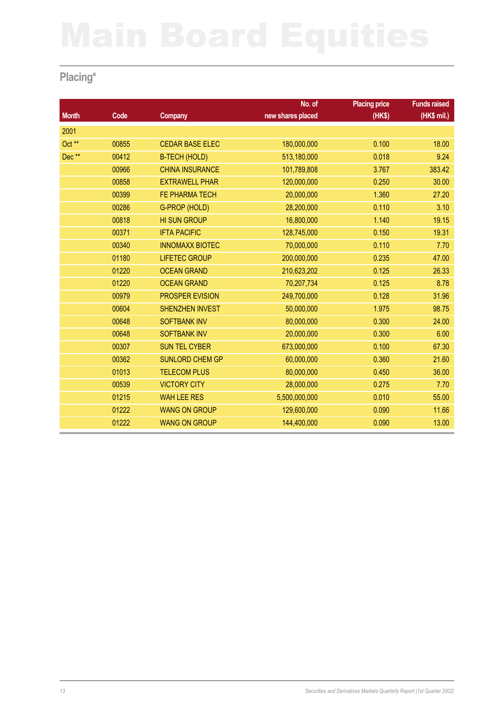# **Placing\***

|              |       |                        | No. of            | <b>Placing price</b> | <b>Funds raised</b> |
|--------------|-------|------------------------|-------------------|----------------------|---------------------|
| <b>Month</b> | Code  | <b>Company</b>         | new shares placed | (HKS)                | (HK\$ mil.)         |
| 2001         |       |                        |                   |                      |                     |
| Oct **       | 00855 | <b>CEDAR BASE ELEC</b> | 180,000,000       | 0.100                | 18.00               |
| Dec**        | 00412 | <b>B-TECH (HOLD)</b>   | 513,180,000       | 0.018                | 9.24                |
|              | 00966 | <b>CHINA INSURANCE</b> | 101,789,808       | 3.767                | 383.42              |
|              | 00858 | <b>EXTRAWELL PHAR</b>  | 120,000,000       | 0.250                | 30.00               |
|              | 00399 | FE PHARMA TECH         | 20,000,000        | 1.360                | 27.20               |
|              | 00286 | G-PROP (HOLD)          | 28,200,000        | 0.110                | 3.10                |
|              | 00818 | <b>HI SUN GROUP</b>    | 16,800,000        | 1.140                | 19.15               |
|              | 00371 | <b>IFTA PACIFIC</b>    | 128,745,000       | 0.150                | 19.31               |
|              | 00340 | <b>INNOMAXX BIOTEC</b> | 70,000,000        | 0.110                | 7.70                |
|              | 01180 | <b>LIFETEC GROUP</b>   | 200,000,000       | 0.235                | 47.00               |
|              | 01220 | <b>OCEAN GRAND</b>     | 210,623,202       | 0.125                | 26.33               |
|              | 01220 | <b>OCEAN GRAND</b>     | 70,207,734        | 0.125                | 8.78                |
|              | 00979 | PROSPER EVISION        | 249,700,000       | 0.128                | 31.96               |
|              | 00604 | <b>SHENZHEN INVEST</b> | 50,000,000        | 1.975                | 98.75               |
|              | 00648 | <b>SOFTBANK INV</b>    | 80,000,000        | 0.300                | 24.00               |
|              | 00648 | <b>SOFTBANK INV</b>    | 20,000,000        | 0.300                | 6.00                |
|              | 00307 | <b>SUN TEL CYBER</b>   | 673,000,000       | 0.100                | 67.30               |
|              | 00362 | <b>SUNLORD CHEM GP</b> | 60,000,000        | 0.360                | 21.60               |
|              | 01013 | <b>TELECOM PLUS</b>    | 80,000,000        | 0.450                | 36.00               |
|              | 00539 | <b>VICTORY CITY</b>    | 28,000,000        | 0.275                | 7.70                |
|              | 01215 | <b>WAH LEE RES</b>     | 5,500,000,000     | 0.010                | 55.00               |
|              | 01222 | <b>WANG ON GROUP</b>   | 129,600,000       | 0.090                | 11.66               |
|              | 01222 | <b>WANG ON GROUP</b>   | 144,400,000       | 0.090                | 13.00               |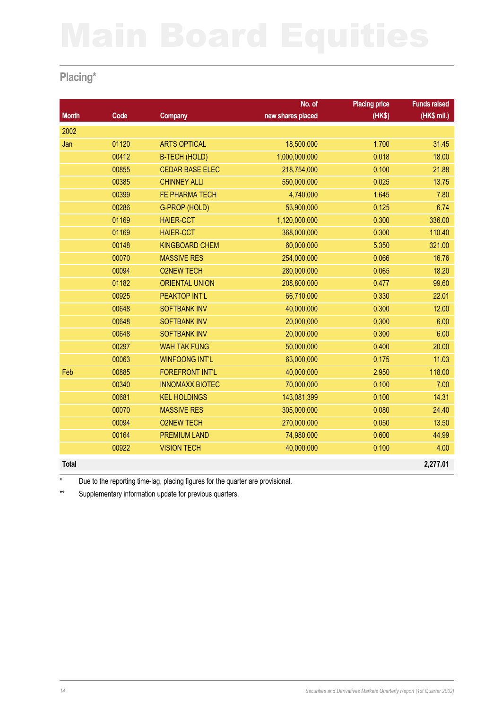## **Placing\***

|              |       |                        | No. of            | <b>Placing price</b> | <b>Funds raised</b> |
|--------------|-------|------------------------|-------------------|----------------------|---------------------|
| <b>Month</b> | Code  | <b>Company</b>         | new shares placed | (HKS)                | (HK\$ mil.)         |
| 2002         |       |                        |                   |                      |                     |
| Jan          | 01120 | <b>ARTS OPTICAL</b>    | 18,500,000        | 1.700                | 31.45               |
|              | 00412 | <b>B-TECH (HOLD)</b>   | 1,000,000,000     | 0.018                | 18.00               |
|              | 00855 | <b>CEDAR BASE ELEC</b> | 218,754,000       | 0.100                | 21.88               |
|              | 00385 | <b>CHINNEY ALLI</b>    | 550,000,000       | 0.025                | 13.75               |
|              | 00399 | FE PHARMA TECH         | 4,740,000         | 1.645                | 7.80                |
|              | 00286 | G-PROP (HOLD)          | 53,900,000        | 0.125                | 6.74                |
|              | 01169 | <b>HAIER-CCT</b>       | 1,120,000,000     | 0.300                | 336.00              |
|              | 01169 | <b>HAIER-CCT</b>       | 368,000,000       | 0.300                | 110.40              |
|              | 00148 | <b>KINGBOARD CHEM</b>  | 60,000,000        | 5.350                | 321.00              |
|              | 00070 | <b>MASSIVE RES</b>     | 254,000,000       | 0.066                | 16.76               |
|              | 00094 | <b>O2NEW TECH</b>      | 280,000,000       | 0.065                | 18.20               |
|              | 01182 | <b>ORIENTAL UNION</b>  | 208,800,000       | 0.477                | 99.60               |
|              | 00925 | PEAKTOP INT'L          | 66,710,000        | 0.330                | 22.01               |
|              | 00648 | <b>SOFTBANK INV</b>    | 40,000,000        | 0.300                | 12.00               |
|              | 00648 | <b>SOFTBANK INV</b>    | 20,000,000        | 0.300                | 6.00                |
|              | 00648 | <b>SOFTBANK INV</b>    | 20,000,000        | 0.300                | 6.00                |
|              | 00297 | <b>WAH TAK FUNG</b>    | 50,000,000        | 0.400                | 20.00               |
|              | 00063 | <b>WINFOONG INT'L</b>  | 63,000,000        | 0.175                | 11.03               |
| Feb          | 00885 | <b>FOREFRONT INT'L</b> | 40,000,000        | 2.950                | 118.00              |
|              | 00340 | <b>INNOMAXX BIOTEC</b> | 70,000,000        | 0.100                | 7.00                |
|              | 00681 | <b>KEL HOLDINGS</b>    | 143,081,399       | 0.100                | 14.31               |
|              | 00070 | <b>MASSIVE RES</b>     | 305,000,000       | 0.080                | 24.40               |
|              | 00094 | <b>O2NEW TECH</b>      | 270,000,000       | 0.050                | 13.50               |
|              | 00164 | <b>PREMIUM LAND</b>    | 74,980,000        | 0.600                | 44.99               |
|              | 00922 | <b>VISION TECH</b>     | 40,000,000        | 0.100                | 4.00                |
| <b>Total</b> |       |                        |                   |                      | 2,277.01            |

\* Due to the reporting time-lag, placing figures for the quarter are provisional.

\*\* Supplementary information update for previous quarters.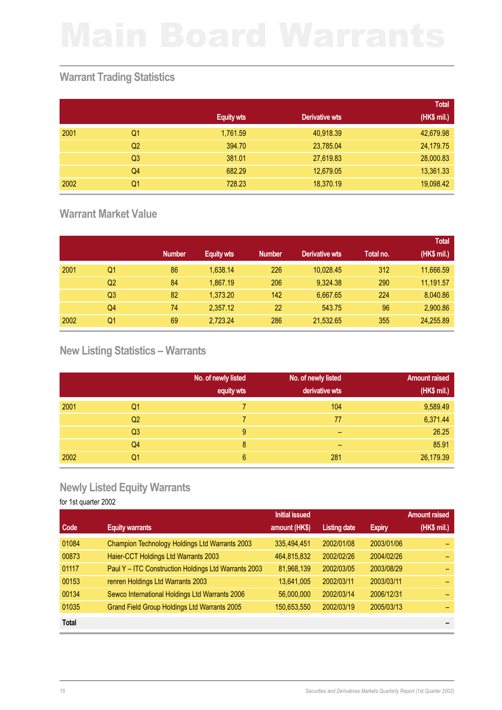## **Warrant Trading Statistics**

|      |                |                   |                | <b>Total</b> |
|------|----------------|-------------------|----------------|--------------|
|      |                | <b>Equity wts</b> | Derivative wts | (HK\$ mil.)  |
| 2001 | Q1             | 1,761.59          | 40,918.39      | 42,679.98    |
|      | Q <sub>2</sub> | 394.70            | 23,785.04      | 24,179.75    |
|      | Q <sub>3</sub> | 381.01            | 27,619.83      | 28,000.83    |
|      | Q4             | 682.29            | 12,679.05      | 13,361.33    |
| 2002 | Q1             | 728.23            | 18,370.19      | 19,098.42    |

## **Warrant Market Value**

|      |                |               |                   |               |                       |           | <b>Total</b> |
|------|----------------|---------------|-------------------|---------------|-----------------------|-----------|--------------|
|      |                | <b>Number</b> | <b>Equity wts</b> | <b>Number</b> | <b>Derivative wts</b> | Total no. | (HK\$ mil.)  |
| 2001 | Q1             | 86            | 1,638.14          | 226           | 10,028.45             | 312       | 11,666.59    |
|      | Q2             | 84            | 1,867.19          | 206           | 9,324.38              | 290       | 11,191.57    |
|      | Q <sub>3</sub> | 82            | 1,373.20          | 142           | 6,667.65              | 224       | 8,040.86     |
|      | Q4             | 74            | 2,357.12          | 22            | 543.75                | 96        | 2,900.86     |
| 2002 | Q1             | 69            | 2,723.24          | 286           | 21,532.65             | 355       | 24,255.89    |

# **New Listing Statistics – Warrants**

|      |                | No. of newly listed<br>equity wts | No. of newly listed<br>derivative wts | <b>Amount raised</b><br>(HK\$ mil.) |
|------|----------------|-----------------------------------|---------------------------------------|-------------------------------------|
| 2001 | Q1             |                                   | 104                                   | 9,589.49                            |
|      | Q <sub>2</sub> |                                   | 77                                    | 6,371.44                            |
|      | Q <sub>3</sub> | 9                                 | -                                     | 26.25                               |
|      | Q4             | 8                                 | -                                     | 85.91                               |
| 2002 | Q1             | 6                                 | 281                                   | 26,179.39                           |

### **Newly Listed Equity Warrants**

|              |                                                      | <b>Initial issued</b> |                     |               | <b>Amount raised</b> |
|--------------|------------------------------------------------------|-----------------------|---------------------|---------------|----------------------|
| Code         | <b>Equity warrants</b>                               | amount (HK\$)         | <b>Listing date</b> | <b>Expiry</b> | (HK\$ mil.)          |
| 01084        | Champion Technology Holdings Ltd Warrants 2003       | 335,494,451           | 2002/01/08          | 2003/01/06    |                      |
| 00873        | Haier-CCT Holdings Ltd Warrants 2003                 | 464,815,832           | 2002/02/26          | 2004/02/26    |                      |
| 01117        | Paul Y - ITC Construction Holdings Ltd Warrants 2003 | 81,968,139            | 2002/03/05          | 2003/08/29    |                      |
| 00153        | renren Holdings Ltd Warrants 2003                    | 13,641,005            | 2002/03/11          | 2003/03/11    |                      |
| 00134        | Sewco International Holdings Ltd Warrants 2006       | 56,000,000            | 2002/03/14          | 2006/12/31    |                      |
| 01035        | Grand Field Group Holdings Ltd Warrants 2005         | 150,653,550           | 2002/03/19          | 2005/03/13    |                      |
| <b>Total</b> |                                                      |                       |                     |               |                      |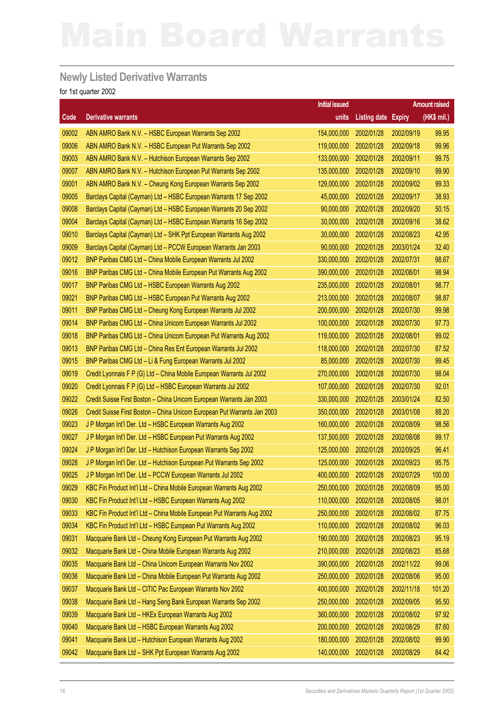### **Newly Listed Derivative Warrants**

|       |                                                                          | <b>Initial issued</b> |                            |            | <b>Amount raised</b> |
|-------|--------------------------------------------------------------------------|-----------------------|----------------------------|------------|----------------------|
| Code  | <b>Derivative warrants</b>                                               | units                 | <b>Listing date Expiry</b> |            | (HK\$ mil.)          |
| 09002 | ABN AMRO Bank N.V. - HSBC European Warrants Sep 2002                     | 154,000,000           | 2002/01/28                 | 2002/09/19 | 99.95                |
| 09006 | ABN AMRO Bank N.V. - HSBC European Put Warrants Sep 2002                 | 119,000,000           | 2002/01/28                 | 2002/09/18 | 99.96                |
| 09003 | ABN AMRO Bank N.V. - Hutchison European Warrants Sep 2002                | 133,000,000           | 2002/01/28                 | 2002/09/11 | 99.75                |
| 09007 | ABN AMRO Bank N.V. - Hutchison European Put Warrants Sep 2002            | 135,000,000           | 2002/01/28                 | 2002/09/10 | 99.90                |
| 09001 | ABN AMRO Bank N.V. - Cheung Kong European Warrants Sep 2002              | 129,000,000           | 2002/01/28                 | 2002/09/02 | 99.33                |
| 09005 | Barclays Capital (Cayman) Ltd - HSBC European Warrants 17 Sep 2002       | 45,000,000            | 2002/01/28                 | 2002/09/17 | 38.93                |
| 09008 | Barclays Capital (Cayman) Ltd - HSBC European Warrants 20 Sep 2002       | 90,000,000            | 2002/01/28                 | 2002/09/20 | 50.15                |
| 09004 | Barclays Capital (Cayman) Ltd - HSBC European Warrants 16 Sep 2002       | 30,000,000            | 2002/01/28                 | 2002/09/16 | 38.62                |
| 09010 | Barclays Capital (Cayman) Ltd - SHK Ppt European Warrants Aug 2002       | 30,000,000            | 2002/01/28                 | 2002/08/23 | 42.95                |
| 09009 | Barclays Capital (Cayman) Ltd - PCCW European Warrants Jan 2003          | 90,000,000            | 2002/01/28                 | 2003/01/24 | 32.40                |
| 09012 | BNP Paribas CMG Ltd - China Mobile European Warrants Jul 2002            | 330,000,000           | 2002/01/28                 | 2002/07/31 | 98.67                |
| 09016 | BNP Paribas CMG Ltd - China Mobile European Put Warrants Aug 2002        | 390,000,000           | 2002/01/28                 | 2002/08/01 | 98.94                |
| 09017 | BNP Paribas CMG Ltd - HSBC European Warrants Aug 2002                    | 235,000,000           | 2002/01/28                 | 2002/08/01 | 98.77                |
| 09021 | BNP Paribas CMG Ltd - HSBC European Put Warrants Aug 2002                | 213,000,000           | 2002/01/28                 | 2002/08/07 | 98.87                |
| 09011 | BNP Paribas CMG Ltd - Cheung Kong European Warrants Jul 2002             | 200,000,000           | 2002/01/28                 | 2002/07/30 | 99.98                |
| 09014 | BNP Paribas CMG Ltd - China Unicom European Warrants Jul 2002            | 100,000,000           | 2002/01/28                 | 2002/07/30 | 97.73                |
| 09018 | BNP Paribas CMG Ltd - China Unicom European Put Warrants Aug 2002        | 119,000,000           | 2002/01/28                 | 2002/08/01 | 99.02                |
| 09013 | BNP Paribas CMG Ltd - China Res Ent European Warrants Jul 2002           | 118,000,000           | 2002/01/28                 | 2002/07/30 | 87.52                |
| 09015 | BNP Paribas CMG Ltd - Li & Fung European Warrants Jul 2002               | 85,000,000            | 2002/01/28                 | 2002/07/30 | 99.45                |
| 09019 | Credit Lyonnais F P (G) Ltd - China Mobile European Warrants Jul 2002    | 270,000,000           | 2002/01/28                 | 2002/07/30 | 98.04                |
| 09020 | Credit Lyonnais F P (G) Ltd - HSBC European Warrants Jul 2002            | 107,000,000           | 2002/01/28                 | 2002/07/30 | 92.01                |
| 09022 | Credit Suisse First Boston - China Unicom European Warrants Jan 2003     | 330,000,000           | 2002/01/28                 | 2003/01/24 | 82.50                |
| 09026 | Credit Suisse First Boston - China Unicom European Put Warrants Jan 2003 | 350,000,000           | 2002/01/28                 | 2003/01/08 | 88.20                |
| 09023 | J P Morgan Int'l Der. Ltd - HSBC European Warrants Aug 2002              | 160,000,000           | 2002/01/28                 | 2002/08/09 | 98.56                |
| 09027 | J P Morgan Int'l Der. Ltd - HSBC European Put Warrants Aug 2002          | 137,500,000           | 2002/01/28                 | 2002/08/08 | 99.17                |
| 09024 | J P Morgan Int'l Der. Ltd - Hutchison European Warrants Sep 2002         | 125,000,000           | 2002/01/28                 | 2002/09/25 | 96.41                |
| 09028 | J P Morgan Int'l Der. Ltd - Hutchison European Put Warrants Sep 2002     | 125,000,000           | 2002/01/28                 | 2002/09/23 | 95.75                |
| 09025 | J P Morgan Int'l Der. Ltd - PCCW European Warrants Jul 2002              | 400,000,000           | 2002/01/28                 | 2002/07/29 | 100.00               |
| 09029 | KBC Fin Product Int'l Ltd - China Mobile European Warrants Aug 2002      | 250,000,000           | 2002/01/28                 | 2002/08/09 | 95.00                |
| 09030 | KBC Fin Product Int'l Ltd - HSBC European Warrants Aug 2002              | 110,000,000           | 2002/01/28                 | 2002/08/05 | 98.01                |
| 09033 | KBC Fin Product Int'l Ltd - China Mobile European Put Warrants Aug 2002  | 250,000,000           | 2002/01/28                 | 2002/08/02 | 87.75                |
| 09034 | KBC Fin Product Int'l Ltd - HSBC European Put Warrants Aug 2002          | 110,000,000           | 2002/01/28                 | 2002/08/02 | 96.03                |
| 09031 | Macquarie Bank Ltd - Cheung Kong European Put Warrants Aug 2002          | 190,000,000           | 2002/01/28                 | 2002/08/23 | 95.19                |
| 09032 | Macquarie Bank Ltd - China Mobile European Warrants Aug 2002             | 210,000,000           | 2002/01/28                 | 2002/08/23 | 85.68                |
| 09035 | Macquarie Bank Ltd - China Unicom European Warrants Nov 2002             | 390,000,000           | 2002/01/28                 | 2002/11/22 | 99.06                |
| 09036 | Macquarie Bank Ltd - China Mobile European Put Warrants Aug 2002         | 250,000,000           | 2002/01/28                 | 2002/08/06 | 95.00                |
| 09037 | Macquarie Bank Ltd - CITIC Pac European Warrants Nov 2002                | 400,000,000           | 2002/01/28                 | 2002/11/18 | 101.20               |
| 09038 | Macquarie Bank Ltd - Hang Seng Bank European Warrants Sep 2002           | 250,000,000           | 2002/01/28                 | 2002/09/05 | 95.50                |
| 09039 | Macquarie Bank Ltd - HKEx European Warrants Aug 2002                     | 360,000,000           | 2002/01/28                 | 2002/08/02 | 97.92                |
| 09040 | Macquarie Bank Ltd - HSBC European Warrants Aug 2002                     | 200,000,000           | 2002/01/28                 | 2002/08/29 | 87.60                |
| 09041 | Macquarie Bank Ltd - Hutchison European Warrants Aug 2002                | 180,000,000           | 2002/01/28                 | 2002/08/02 | 99.90                |
| 09042 | Macquarie Bank Ltd - SHK Ppt European Warrants Aug 2002                  | 140,000,000           | 2002/01/28                 | 2002/08/29 | 84.42                |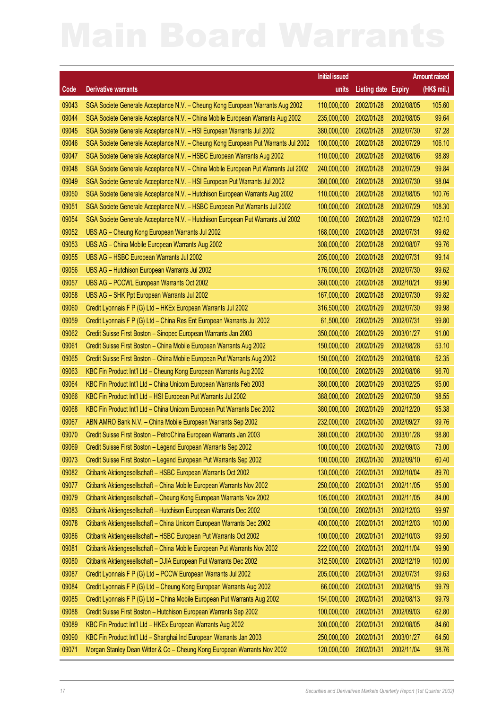|       |                                                                                    | <b>Initial issued</b> |                     |               | <b>Amount raised</b> |
|-------|------------------------------------------------------------------------------------|-----------------------|---------------------|---------------|----------------------|
| Code  | <b>Derivative warrants</b>                                                         | units                 | <b>Listing date</b> | <b>Expiry</b> | (HK\$ mil.)          |
| 09043 | SGA Societe Generale Acceptance N.V. - Cheung Kong European Warrants Aug 2002      | 110,000,000           | 2002/01/28          | 2002/08/05    | 105.60               |
| 09044 | SGA Societe Generale Acceptance N.V. - China Mobile European Warrants Aug 2002     | 235,000,000           | 2002/01/28          | 2002/08/05    | 99.64                |
| 09045 | SGA Societe Generale Acceptance N.V. - HSI European Warrants Jul 2002              | 380,000,000           | 2002/01/28          | 2002/07/30    | 97.28                |
| 09046 | SGA Societe Generale Acceptance N.V. - Cheung Kong European Put Warrants Jul 2002  | 100,000,000           | 2002/01/28          | 2002/07/29    | 106.10               |
| 09047 | SGA Societe Generale Acceptance N.V. - HSBC European Warrants Aug 2002             | 110,000,000           | 2002/01/28          | 2002/08/06    | 98.89                |
| 09048 | SGA Societe Generale Acceptance N.V. - China Mobile European Put Warrants Jul 2002 | 240,000,000           | 2002/01/28          | 2002/07/29    | 99.84                |
| 09049 | SGA Societe Generale Acceptance N.V. - HSI European Put Warrants Jul 2002          | 380,000,000           | 2002/01/28          | 2002/07/30    | 98.04                |
| 09050 | SGA Societe Generale Acceptance N.V. - Hutchison European Warrants Aug 2002        | 110,000,000           | 2002/01/28          | 2002/08/05    | 100.76               |
| 09051 | SGA Societe Generale Acceptance N.V. - HSBC European Put Warrants Jul 2002         | 100,000,000           | 2002/01/28          | 2002/07/29    | 108.30               |
| 09054 | SGA Societe Generale Acceptance N.V. - Hutchison European Put Warrants Jul 2002    | 100,000,000           | 2002/01/28          | 2002/07/29    | 102.10               |
| 09052 | UBS AG - Cheung Kong European Warrants Jul 2002                                    | 168,000,000           | 2002/01/28          | 2002/07/31    | 99.62                |
| 09053 | UBS AG - China Mobile European Warrants Aug 2002                                   | 308,000,000           | 2002/01/28          | 2002/08/07    | 99.76                |
| 09055 | UBS AG - HSBC European Warrants Jul 2002                                           | 205,000,000           | 2002/01/28          | 2002/07/31    | 99.14                |
| 09056 | UBS AG - Hutchison European Warrants Jul 2002                                      | 176,000,000           | 2002/01/28          | 2002/07/30    | 99.62                |
| 09057 | UBS AG - PCCWL European Warrants Oct 2002                                          | 360,000,000           | 2002/01/28          | 2002/10/21    | 99.90                |
| 09058 | UBS AG - SHK Ppt European Warrants Jul 2002                                        | 167,000,000           | 2002/01/28          | 2002/07/30    | 99.82                |
| 09060 | Credit Lyonnais F P (G) Ltd - HKEx European Warrants Jul 2002                      | 316,500,000           | 2002/01/29          | 2002/07/30    | 99.98                |
| 09059 | Credit Lyonnais F P (G) Ltd - China Res Ent European Warrants Jul 2002             | 61,500,000            | 2002/01/29          | 2002/07/31    | 99.80                |
| 09062 | Credit Suisse First Boston - Sinopec European Warrants Jan 2003                    | 350,000,000           | 2002/01/29          | 2003/01/27    | 91.00                |
| 09061 | Credit Suisse First Boston - China Mobile European Warrants Aug 2002               | 150,000,000           | 2002/01/29          | 2002/08/28    | 53.10                |
| 09065 | Credit Suisse First Boston - China Mobile European Put Warrants Aug 2002           | 150,000,000           | 2002/01/29          | 2002/08/08    | 52.35                |
| 09063 | KBC Fin Product Int'l Ltd - Cheung Kong European Warrants Aug 2002                 | 100,000,000           | 2002/01/29          | 2002/08/06    | 96.70                |
| 09064 | KBC Fin Product Int'l Ltd - China Unicom European Warrants Feb 2003                | 380,000,000           | 2002/01/29          | 2003/02/25    | 95.00                |
| 09066 | KBC Fin Product Int'l Ltd - HSI European Put Warrants Jul 2002                     | 388,000,000           | 2002/01/29          | 2002/07/30    | 98.55                |
| 09068 | KBC Fin Product Int'l Ltd - China Unicom European Put Warrants Dec 2002            | 380,000,000           | 2002/01/29          | 2002/12/20    | 95.38                |
| 09067 | ABN AMRO Bank N.V. - China Mobile European Warrants Sep 2002                       | 232,000,000           | 2002/01/30          | 2002/09/27    | 99.76                |
| 09070 | Credit Suisse First Boston - PetroChina European Warrants Jan 2003                 | 380,000,000           | 2002/01/30          | 2003/01/28    | 98.80                |
| 09069 | Credit Suisse First Boston - Legend European Warrants Sep 2002                     | 100,000,000           | 2002/01/30          | 2002/09/03    | 73.00                |
| 09073 | Credit Suisse First Boston - Legend European Put Warrants Sep 2002                 | 100,000,000           | 2002/01/30          | 2002/09/10    | 60.40                |
| 09082 | Citibank Aktiengesellschaft - HSBC European Warrants Oct 2002                      | 130,000,000           | 2002/01/31          | 2002/10/04    | 89.70                |
| 09077 | Citibank Aktiengesellschaft - China Mobile European Warrants Nov 2002              | 250,000,000           | 2002/01/31          | 2002/11/05    | 95.00                |
| 09079 | Citibank Aktiengesellschaft - Cheung Kong European Warrants Nov 2002               | 105,000,000           | 2002/01/31          | 2002/11/05    | 84.00                |
| 09083 | Citibank Aktiengesellschaft - Hutchison European Warrants Dec 2002                 | 130,000,000           | 2002/01/31          | 2002/12/03    | 99.97                |
| 09078 | Citibank Aktiengesellschaft - China Unicom European Warrants Dec 2002              | 400,000,000           | 2002/01/31          | 2002/12/03    | 100.00               |
| 09086 | Citibank Aktiengesellschaft - HSBC European Put Warrants Oct 2002                  | 100,000,000           | 2002/01/31          | 2002/10/03    | 99.50                |
| 09081 | Citibank Aktiengesellschaft - China Mobile European Put Warrants Nov 2002          | 222,000,000           | 2002/01/31          | 2002/11/04    | 99.90                |
| 09080 | Citibank Aktiengesellschaft - DJIA European Put Warrants Dec 2002                  | 312,500,000           | 2002/01/31          | 2002/12/19    | 100.00               |
| 09087 | Credit Lyonnais F P (G) Ltd - PCCW European Warrants Jul 2002                      | 205,000,000           | 2002/01/31          | 2002/07/31    | 99.63                |
| 09084 | Credit Lyonnais F P (G) Ltd - Cheung Kong European Warrants Aug 2002               | 66,000,000            | 2002/01/31          | 2002/08/15    | 99.79                |
| 09085 | Credit Lyonnais F P (G) Ltd - China Mobile European Put Warrants Aug 2002          | 154,000,000           | 2002/01/31          | 2002/08/13    | 99.79                |
| 09088 | Credit Suisse First Boston - Hutchison European Warrants Sep 2002                  | 100,000,000           | 2002/01/31          | 2002/09/03    | 62.80                |
| 09089 | KBC Fin Product Int'l Ltd - HKEx European Warrants Aug 2002                        | 300,000,000           | 2002/01/31          | 2002/08/05    | 84.60                |
| 09090 | KBC Fin Product Int'l Ltd - Shanghai Ind European Warrants Jan 2003                | 250,000,000           | 2002/01/31          | 2003/01/27    | 64.50                |
| 09071 | Morgan Stanley Dean Witter & Co - Cheung Kong European Warrants Nov 2002           | 120,000,000           | 2002/01/31          | 2002/11/04    | 98.76                |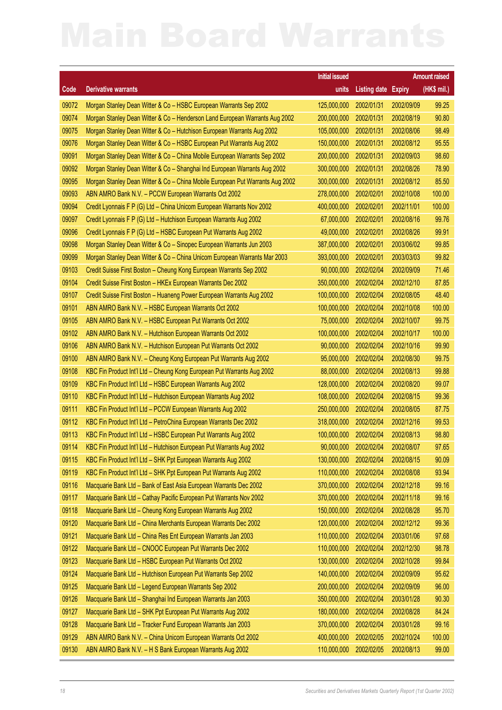|       |                                                                               | <b>Initial issued</b> |                            |            | <b>Amount raised</b> |
|-------|-------------------------------------------------------------------------------|-----------------------|----------------------------|------------|----------------------|
| Code  | <b>Derivative warrants</b>                                                    | units                 | <b>Listing date Expiry</b> |            | (HK\$ mil.)          |
| 09072 | Morgan Stanley Dean Witter & Co - HSBC European Warrants Sep 2002             | 125,000,000           | 2002/01/31                 | 2002/09/09 | 99.25                |
| 09074 | Morgan Stanley Dean Witter & Co - Henderson Land European Warrants Aug 2002   | 200,000,000           | 2002/01/31                 | 2002/08/19 | 90.80                |
| 09075 | Morgan Stanley Dean Witter & Co - Hutchison European Warrants Aug 2002        | 105,000,000           | 2002/01/31                 | 2002/08/06 | 98.49                |
| 09076 | Morgan Stanley Dean Witter & Co - HSBC European Put Warrants Aug 2002         | 150,000,000           | 2002/01/31                 | 2002/08/12 | 95.55                |
| 09091 | Morgan Stanley Dean Witter & Co - China Mobile European Warrants Sep 2002     | 200,000,000           | 2002/01/31                 | 2002/09/03 | 98.60                |
| 09092 | Morgan Stanley Dean Witter & Co - Shanghai Ind European Warrants Aug 2002     | 300,000,000           | 2002/01/31                 | 2002/08/26 | 78.90                |
| 09095 | Morgan Stanley Dean Witter & Co - China Mobile European Put Warrants Aug 2002 | 300,000,000           | 2002/01/31                 | 2002/08/12 | 85.50                |
| 09093 | ABN AMRO Bank N.V. - PCCW European Warrants Oct 2002                          | 278,000,000           | 2002/02/01                 | 2002/10/08 | 100.00               |
| 09094 | Credit Lyonnais F P (G) Ltd - China Unicom European Warrants Nov 2002         | 400,000,000           | 2002/02/01                 | 2002/11/01 | 100.00               |
| 09097 | Credit Lyonnais F P (G) Ltd - Hutchison European Warrants Aug 2002            | 67,000,000            | 2002/02/01                 | 2002/08/16 | 99.76                |
| 09096 | Credit Lyonnais F P (G) Ltd - HSBC European Put Warrants Aug 2002             | 49,000,000            | 2002/02/01                 | 2002/08/26 | 99.91                |
| 09098 | Morgan Stanley Dean Witter & Co - Sinopec European Warrants Jun 2003          | 387,000,000           | 2002/02/01                 | 2003/06/02 | 99.85                |
| 09099 | Morgan Stanley Dean Witter & Co - China Unicom European Warrants Mar 2003     | 393,000,000           | 2002/02/01                 | 2003/03/03 | 99.82                |
| 09103 | Credit Suisse First Boston - Cheung Kong European Warrants Sep 2002           | 90,000,000            | 2002/02/04                 | 2002/09/09 | 71.46                |
| 09104 | Credit Suisse First Boston - HKEx European Warrants Dec 2002                  | 350,000,000           | 2002/02/04                 | 2002/12/10 | 87.85                |
| 09107 | Credit Suisse First Boston - Huaneng Power European Warrants Aug 2002         | 100,000,000           | 2002/02/04                 | 2002/08/05 | 48.40                |
| 09101 | ABN AMRO Bank N.V. - HSBC European Warrants Oct 2002                          | 100,000,000           | 2002/02/04                 | 2002/10/08 | 100.00               |
| 09105 | ABN AMRO Bank N.V. - HSBC European Put Warrants Oct 2002                      | 75,000,000            | 2002/02/04                 | 2002/10/07 | 99.75                |
| 09102 | ABN AMRO Bank N.V. - Hutchison European Warrants Oct 2002                     | 100,000,000           | 2002/02/04                 | 2002/10/17 | 100.00               |
| 09106 | ABN AMRO Bank N.V. - Hutchison European Put Warrants Oct 2002                 | 90,000,000            | 2002/02/04                 | 2002/10/16 | 99.90                |
| 09100 | ABN AMRO Bank N.V. - Cheung Kong European Put Warrants Aug 2002               | 95,000,000            | 2002/02/04                 | 2002/08/30 | 99.75                |
| 09108 | KBC Fin Product Int'l Ltd - Cheung Kong European Put Warrants Aug 2002        | 88,000,000            | 2002/02/04                 | 2002/08/13 | 99.88                |
| 09109 | KBC Fin Product Int'l Ltd - HSBC European Warrants Aug 2002                   | 128,000,000           | 2002/02/04                 | 2002/08/20 | 99.07                |
| 09110 | KBC Fin Product Int'l Ltd - Hutchison European Warrants Aug 2002              | 108,000,000           | 2002/02/04                 | 2002/08/15 | 99.36                |
| 09111 | KBC Fin Product Int'l Ltd - PCCW European Warrants Aug 2002                   | 250,000,000           | 2002/02/04                 | 2002/08/05 | 87.75                |
| 09112 | KBC Fin Product Int'l Ltd - PetroChina European Warrants Dec 2002             | 318,000,000           | 2002/02/04                 | 2002/12/16 | 99.53                |
| 09113 | KBC Fin Product Int'l Ltd - HSBC European Put Warrants Aug 2002               | 100,000,000           | 2002/02/04                 | 2002/08/13 | 98.80                |
| 09114 | KBC Fin Product Int'l Ltd - Hutchison European Put Warrants Aug 2002          |                       | 90,000,000 2002/02/04      | 2002/08/07 | 97.65                |
| 09115 | KBC Fin Product Int'l Ltd - SHK Ppt European Warrants Aug 2002                | 130,000,000           | 2002/02/04                 | 2002/08/15 | 90.09                |
| 09119 | KBC Fin Product Int'l Ltd - SHK Ppt European Put Warrants Aug 2002            | 110,000,000           | 2002/02/04                 | 2002/08/08 | 93.94                |
| 09116 | Macquarie Bank Ltd - Bank of East Asia European Warrants Dec 2002             | 370,000,000           | 2002/02/04                 | 2002/12/18 | 99.16                |
| 09117 | Macquarie Bank Ltd - Cathay Pacific European Put Warrants Nov 2002            | 370,000,000           | 2002/02/04                 | 2002/11/18 | 99.16                |
| 09118 | Macquarie Bank Ltd - Cheung Kong European Warrants Aug 2002                   | 150,000,000           | 2002/02/04                 | 2002/08/28 | 95.70                |
| 09120 | Macquarie Bank Ltd - China Merchants European Warrants Dec 2002               | 120,000,000           | 2002/02/04                 | 2002/12/12 | 99.36                |
| 09121 | Macquarie Bank Ltd - China Res Ent European Warrants Jan 2003                 | 110,000,000           | 2002/02/04                 | 2003/01/06 | 97.68                |
| 09122 | Macquarie Bank Ltd - CNOOC European Put Warrants Dec 2002                     | 110,000,000           | 2002/02/04                 | 2002/12/30 | 98.78                |
| 09123 | Macquarie Bank Ltd - HSBC European Put Warrants Oct 2002                      | 130,000,000           | 2002/02/04                 | 2002/10/28 | 99.84                |
| 09124 | Macquarie Bank Ltd - Hutchison European Put Warrants Sep 2002                 | 140,000,000           | 2002/02/04                 | 2002/09/09 | 95.62                |
| 09125 | Macquarie Bank Ltd - Legend European Warrants Sep 2002                        | 200,000,000           | 2002/02/04                 | 2002/09/09 | 96.00                |
| 09126 | Macquarie Bank Ltd - Shanghai Ind European Warrants Jan 2003                  | 350,000,000           | 2002/02/04                 | 2003/01/28 | 90.30                |
| 09127 | Macquarie Bank Ltd - SHK Ppt European Put Warrants Aug 2002                   | 180,000,000           | 2002/02/04                 | 2002/08/28 | 84.24                |
| 09128 | Macquarie Bank Ltd - Tracker Fund European Warrants Jan 2003                  | 370,000,000           | 2002/02/04                 | 2003/01/28 | 99.16                |
| 09129 | ABN AMRO Bank N.V. - China Unicom European Warrants Oct 2002                  | 400,000,000           | 2002/02/05                 | 2002/10/24 | 100.00               |
| 09130 | ABN AMRO Bank N.V. - H S Bank European Warrants Aug 2002                      | 110,000,000           | 2002/02/05                 | 2002/08/13 | 99.00                |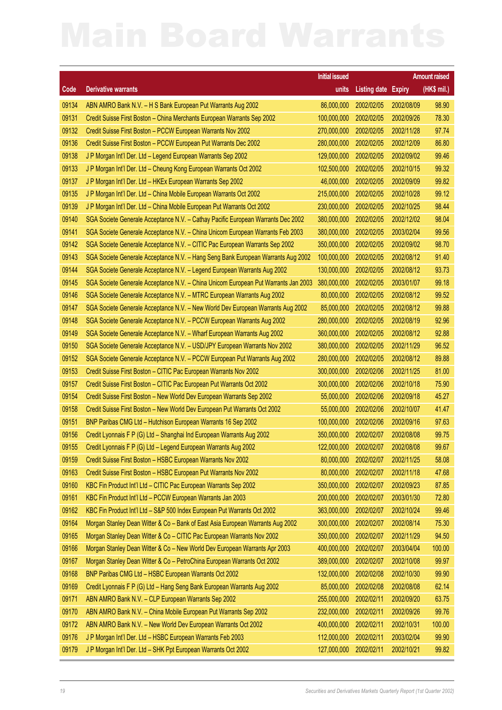|       |                                                                                    | <b>Initial issued</b>  |                     |               | <b>Amount raised</b> |
|-------|------------------------------------------------------------------------------------|------------------------|---------------------|---------------|----------------------|
| Code  | <b>Derivative warrants</b>                                                         | units                  | <b>Listing date</b> | <b>Expiry</b> | (HK\$ mil.)          |
| 09134 | ABN AMRO Bank N.V. - H S Bank European Put Warrants Aug 2002                       | 86,000,000             | 2002/02/05          | 2002/08/09    | 98.90                |
| 09131 | Credit Suisse First Boston - China Merchants European Warrants Sep 2002            | 100,000,000            | 2002/02/05          | 2002/09/26    | 78.30                |
| 09132 | Credit Suisse First Boston - PCCW European Warrants Nov 2002                       | 270,000,000            | 2002/02/05          | 2002/11/28    | 97.74                |
| 09136 | Credit Suisse First Boston - PCCW European Put Warrants Dec 2002                   | 280,000,000            | 2002/02/05          | 2002/12/09    | 86.80                |
| 09138 | J P Morgan Int'l Der. Ltd - Legend European Warrants Sep 2002                      | 129,000,000            | 2002/02/05          | 2002/09/02    | 99.46                |
| 09133 | J P Morgan Int'l Der. Ltd - Cheung Kong European Warrants Oct 2002                 | 102,500,000            | 2002/02/05          | 2002/10/15    | 99.32                |
| 09137 | J P Morgan Int'l Der. Ltd - HKEx European Warrants Sep 2002                        | 46,000,000             | 2002/02/05          | 2002/09/09    | 99.82                |
| 09135 | J P Morgan Int'l Der. Ltd - China Mobile European Warrants Oct 2002                | 215,000,000            | 2002/02/05          | 2002/10/28    | 99.12                |
| 09139 | J P Morgan Int'l Der. Ltd - China Mobile European Put Warrants Oct 2002            | 230,000,000            | 2002/02/05          | 2002/10/25    | 98.44                |
| 09140 | SGA Societe Generale Acceptance N.V. - Cathay Pacific European Warrants Dec 2002   | 380,000,000            | 2002/02/05          | 2002/12/02    | 98.04                |
| 09141 | SGA Societe Generale Acceptance N.V. - China Unicom European Warrants Feb 2003     | 380,000,000            | 2002/02/05          | 2003/02/04    | 99.56                |
| 09142 | SGA Societe Generale Acceptance N.V. - CITIC Pac European Warrants Sep 2002        | 350,000,000            | 2002/02/05          | 2002/09/02    | 98.70                |
| 09143 | SGA Societe Generale Acceptance N.V. - Hang Seng Bank European Warrants Aug 2002   | 100,000,000            | 2002/02/05          | 2002/08/12    | 91.40                |
| 09144 | SGA Societe Generale Acceptance N.V. - Legend European Warrants Aug 2002           | 130,000,000            | 2002/02/05          | 2002/08/12    | 93.73                |
| 09145 | SGA Societe Generale Acceptance N.V. - China Unicom European Put Warrants Jan 2003 | 380,000,000            | 2002/02/05          | 2003/01/07    | 99.18                |
| 09146 | SGA Societe Generale Acceptance N.V. - MTRC European Warrants Aug 2002             | 80,000,000             | 2002/02/05          | 2002/08/12    | 99.52                |
| 09147 | SGA Societe Generale Acceptance N.V. - New World Dev European Warrants Aug 2002    | 85,000,000             | 2002/02/05          | 2002/08/12    | 99.88                |
| 09148 | SGA Societe Generale Acceptance N.V. - PCCW European Warrants Aug 2002             | 280,000,000            | 2002/02/05          | 2002/08/19    | 92.96                |
| 09149 | SGA Societe Generale Acceptance N.V. - Wharf European Warrants Aug 2002            | 360,000,000            | 2002/02/05          | 2002/08/12    | 92.88                |
| 09150 | SGA Societe Generale Acceptance N.V. - USD/JPY European Warrants Nov 2002          | 380,000,000            | 2002/02/05          | 2002/11/29    | 96.52                |
| 09152 | SGA Societe Generale Acceptance N.V. - PCCW European Put Warrants Aug 2002         | 280,000,000            | 2002/02/05          | 2002/08/12    | 89.88                |
| 09153 | Credit Suisse First Boston - CITIC Pac European Warrants Nov 2002                  | 300,000,000            | 2002/02/06          | 2002/11/25    | 81.00                |
| 09157 | Credit Suisse First Boston - CITIC Pac European Put Warrants Oct 2002              | 300,000,000            | 2002/02/06          | 2002/10/18    | 75.90                |
| 09154 | Credit Suisse First Boston - New World Dev European Warrants Sep 2002              | 55,000,000             | 2002/02/06          | 2002/09/18    | 45.27                |
| 09158 | Credit Suisse First Boston - New World Dev European Put Warrants Oct 2002          | 55,000,000             | 2002/02/06          | 2002/10/07    | 41.47                |
| 09151 | BNP Paribas CMG Ltd - Hutchison European Warrants 16 Sep 2002                      | 100,000,000            | 2002/02/06          | 2002/09/16    | 97.63                |
| 09156 | Credit Lyonnais F P (G) Ltd - Shanghai Ind European Warrants Aug 2002              | 350,000,000            | 2002/02/07          | 2002/08/08    | 99.75                |
| 09155 | Credit Lyonnais F P (G) Ltd - Legend European Warrants Aug 2002                    | 122,000,000 2002/02/07 |                     | 2002/08/08    | 99.67                |
| 09159 | Credit Suisse First Boston - HSBC European Warrants Nov 2002                       | 80,000,000             | 2002/02/07          | 2002/11/25    | 58.08                |
| 09163 | Credit Suisse First Boston - HSBC European Put Warrants Nov 2002                   | 80,000,000             | 2002/02/07          | 2002/11/18    | 47.68                |
| 09160 | KBC Fin Product Int'l Ltd - CITIC Pac European Warrants Sep 2002                   | 350,000,000            | 2002/02/07          | 2002/09/23    | 87.85                |
| 09161 | KBC Fin Product Int'l Ltd - PCCW European Warrants Jan 2003                        | 200,000,000            | 2002/02/07          | 2003/01/30    | 72.80                |
| 09162 | KBC Fin Product Int'l Ltd - S&P 500 Index European Put Warrants Oct 2002           | 363,000,000            | 2002/02/07          | 2002/10/24    | 99.46                |
| 09164 | Morgan Stanley Dean Witter & Co - Bank of East Asia European Warrants Aug 2002     | 300,000,000            | 2002/02/07          | 2002/08/14    | 75.30                |
| 09165 | Morgan Stanley Dean Witter & Co - CITIC Pac European Warrants Nov 2002             | 350,000,000            | 2002/02/07          | 2002/11/29    | 94.50                |
| 09166 | Morgan Stanley Dean Witter & Co - New World Dev European Warrants Apr 2003         | 400,000,000            | 2002/02/07          | 2003/04/04    | 100.00               |
| 09167 | Morgan Stanley Dean Witter & Co - PetroChina European Warrants Oct 2002            | 389,000,000            | 2002/02/07          | 2002/10/08    | 99.97                |
| 09168 | BNP Paribas CMG Ltd - HSBC European Warrants Oct 2002                              | 132,000,000            | 2002/02/08          | 2002/10/30    | 99.90                |
| 09169 | Credit Lyonnais F P (G) Ltd - Hang Seng Bank European Warrants Aug 2002            | 85,000,000             | 2002/02/08          | 2002/08/08    | 62.14                |
| 09171 | ABN AMRO Bank N.V. - CLP European Warrants Sep 2002                                | 255,000,000            | 2002/02/11          | 2002/09/20    | 63.75                |
| 09170 | ABN AMRO Bank N.V. - China Mobile European Put Warrants Sep 2002                   | 232,000,000            | 2002/02/11          | 2002/09/26    | 99.76                |
| 09172 | ABN AMRO Bank N.V. - New World Dev European Warrants Oct 2002                      | 400,000,000            | 2002/02/11          | 2002/10/31    | 100.00               |
| 09176 | J P Morgan Int'l Der. Ltd - HSBC European Warrants Feb 2003                        | 112,000,000            | 2002/02/11          | 2003/02/04    | 99.90                |
| 09179 | J P Morgan Int'l Der. Ltd - SHK Ppt European Warrants Oct 2002                     | 127,000,000            | 2002/02/11          | 2002/10/21    | 99.82                |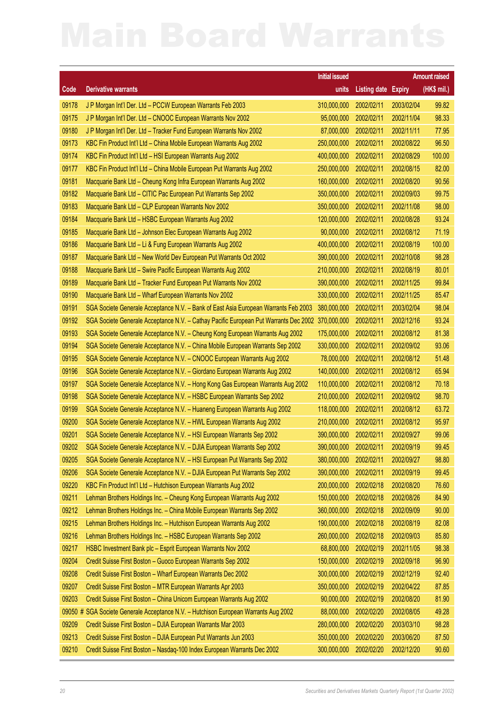|         |                                                                                      | <b>Initial issued</b> |                            |            | <b>Amount raised</b> |
|---------|--------------------------------------------------------------------------------------|-----------------------|----------------------------|------------|----------------------|
| Code    | <b>Derivative warrants</b>                                                           | units                 | <b>Listing date Expiry</b> |            | (HK\$ mil.)          |
| 09178   | J P Morgan Int'l Der. Ltd - PCCW European Warrants Feb 2003                          | 310,000,000           | 2002/02/11                 | 2003/02/04 | 99.82                |
| 09175   | J P Morgan Int'l Der. Ltd - CNOOC European Warrants Nov 2002                         | 95,000,000            | 2002/02/11                 | 2002/11/04 | 98.33                |
| 09180   | J P Morgan Int'l Der. Ltd - Tracker Fund European Warrants Nov 2002                  | 87,000,000            | 2002/02/11                 | 2002/11/11 | 77.95                |
| 09173   | KBC Fin Product Int'l Ltd - China Mobile European Warrants Aug 2002                  | 250,000,000           | 2002/02/11                 | 2002/08/22 | 96.50                |
| 09174   | KBC Fin Product Int'l Ltd - HSI European Warrants Aug 2002                           | 400,000,000           | 2002/02/11                 | 2002/08/29 | 100.00               |
| 09177   | KBC Fin Product Int'l Ltd - China Mobile European Put Warrants Aug 2002              | 250,000,000           | 2002/02/11                 | 2002/08/15 | 82.00                |
| 09181   | Macquarie Bank Ltd - Cheung Kong Infra European Warrants Aug 2002                    | 160,000,000           | 2002/02/11                 | 2002/08/20 | 90.56                |
| 09182   | Macquarie Bank Ltd - CITIC Pac European Put Warrants Sep 2002                        | 350,000,000           | 2002/02/11                 | 2002/09/03 | 99.75                |
| 09183   | Macquarie Bank Ltd - CLP European Warrants Nov 2002                                  | 350,000,000           | 2002/02/11                 | 2002/11/08 | 98.00                |
| 09184   | Macquarie Bank Ltd - HSBC European Warrants Aug 2002                                 | 120,000,000           | 2002/02/11                 | 2002/08/28 | 93.24                |
| 09185   | Macquarie Bank Ltd - Johnson Elec European Warrants Aug 2002                         | 90,000,000            | 2002/02/11                 | 2002/08/12 | 71.19                |
| 09186   | Macquarie Bank Ltd - Li & Fung European Warrants Aug 2002                            | 400,000,000           | 2002/02/11                 | 2002/08/19 | 100.00               |
| 09187   | Macquarie Bank Ltd - New World Dev European Put Warrants Oct 2002                    | 390,000,000           | 2002/02/11                 | 2002/10/08 | 98.28                |
| 09188   | Macquarie Bank Ltd - Swire Pacific European Warrants Aug 2002                        | 210,000,000           | 2002/02/11                 | 2002/08/19 | 80.01                |
| 09189   | Macquarie Bank Ltd - Tracker Fund European Put Warrants Nov 2002                     | 390,000,000           | 2002/02/11                 | 2002/11/25 | 99.84                |
| 09190   | Macquarie Bank Ltd - Wharf European Warrants Nov 2002                                | 330,000,000           | 2002/02/11                 | 2002/11/25 | 85.47                |
| 09191   | SGA Societe Generale Acceptance N.V. - Bank of East Asia European Warrants Feb 2003  | 380,000,000           | 2002/02/11                 | 2003/02/04 | 98.04                |
| 09192   | SGA Societe Generale Acceptance N.V. - Cathay Pacific European Put Warrants Dec 2002 | 370,000,000           | 2002/02/11                 | 2002/12/16 | 93.24                |
| 09193   | SGA Societe Generale Acceptance N.V. - Cheung Kong European Warrants Aug 2002        | 175,000,000           | 2002/02/11                 | 2002/08/12 | 81.38                |
| 09194   | SGA Societe Generale Acceptance N.V. - China Mobile European Warrants Sep 2002       | 330,000,000           | 2002/02/11                 | 2002/09/02 | 93.06                |
| 09195   | SGA Societe Generale Acceptance N.V. - CNOOC European Warrants Aug 2002              | 78,000,000            | 2002/02/11                 | 2002/08/12 | 51.48                |
| 09196   | SGA Societe Generale Acceptance N.V. - Giordano European Warrants Aug 2002           | 140,000,000           | 2002/02/11                 | 2002/08/12 | 65.94                |
| 09197   | SGA Societe Generale Acceptance N.V. - Hong Kong Gas European Warrants Aug 2002      | 110,000,000           | 2002/02/11                 | 2002/08/12 | 70.18                |
| 09198   | SGA Societe Generale Acceptance N.V. - HSBC European Warrants Sep 2002               | 210,000,000           | 2002/02/11                 | 2002/09/02 | 98.70                |
| 09199   | SGA Societe Generale Acceptance N.V. - Huaneng European Warrants Aug 2002            | 118,000,000           | 2002/02/11                 | 2002/08/12 | 63.72                |
| 09200   | SGA Societe Generale Acceptance N.V. - HWL European Warrants Aug 2002                | 210,000,000           | 2002/02/11                 | 2002/08/12 | 95.97                |
| 09201   | SGA Societe Generale Acceptance N.V. - HSI European Warrants Sep 2002                | 390,000,000           | 2002/02/11                 | 2002/09/27 | 99.06                |
| 09202   | SGA Societe Generale Acceptance N.V. - DJIA European Warrants Sep 2002               |                       | 390,000,000 2002/02/11     | 2002/09/19 | 99.45                |
| 09205   | SGA Societe Generale Acceptance N.V. - HSI European Put Warrants Sep 2002            | 380,000,000           | 2002/02/11                 | 2002/09/27 | 98.80                |
| 09206   | SGA Societe Generale Acceptance N.V. - DJIA European Put Warrants Sep 2002           | 390,000,000           | 2002/02/11                 | 2002/09/19 | 99.45                |
| 09220   | KBC Fin Product Int'l Ltd - Hutchison European Warrants Aug 2002                     | 200,000,000           | 2002/02/18                 | 2002/08/20 | 76.60                |
| 09211   | Lehman Brothers Holdings Inc. - Cheung Kong European Warrants Aug 2002               | 150,000,000           | 2002/02/18                 | 2002/08/26 | 84.90                |
| 09212   | Lehman Brothers Holdings Inc. - China Mobile European Warrants Sep 2002              | 360,000,000           | 2002/02/18                 | 2002/09/09 | 90.00                |
| 09215   | Lehman Brothers Holdings Inc. - Hutchison European Warrants Aug 2002                 | 190,000,000           | 2002/02/18                 | 2002/08/19 | 82.08                |
| 09216   | Lehman Brothers Holdings Inc. - HSBC European Warrants Sep 2002                      | 260,000,000           | 2002/02/18                 | 2002/09/03 | 85.80                |
| 09217   | HSBC Investment Bank plc - Esprit European Warrants Nov 2002                         | 68,800,000            | 2002/02/19                 | 2002/11/05 | 98.38                |
| 09204   | Credit Suisse First Boston - Guoco European Warrants Sep 2002                        | 150,000,000           | 2002/02/19                 | 2002/09/18 | 96.90                |
| 09208   | Credit Suisse First Boston - Wharf European Warrants Dec 2002                        | 300,000,000           | 2002/02/19                 | 2002/12/19 | 92.40                |
| 09207   | Credit Suisse First Boston - MTR European Warrants Apr 2003                          | 350,000,000           | 2002/02/19                 | 2002/04/22 | 87.85                |
| 09203   | Credit Suisse First Boston - China Unicom European Warrants Aug 2002                 | 90,000,000            | 2002/02/19                 | 2002/08/20 | 81.90                |
| 09050 # | SGA Societe Generale Acceptance N.V. - Hutchison European Warrants Aug 2002          | 88,000,000            | 2002/02/20                 | 2002/08/05 | 49.28                |
| 09209   | Credit Suisse First Boston - DJIA European Warrants Mar 2003                         | 280,000,000           | 2002/02/20                 | 2003/03/10 | 98.28                |
| 09213   | Credit Suisse First Boston - DJIA European Put Warrants Jun 2003                     | 350,000,000           | 2002/02/20                 | 2003/06/20 | 87.50                |
| 09210   | Credit Suisse First Boston - Nasdaq-100 Index European Warrants Dec 2002             | 300,000,000           | 2002/02/20                 | 2002/12/20 | 90.60                |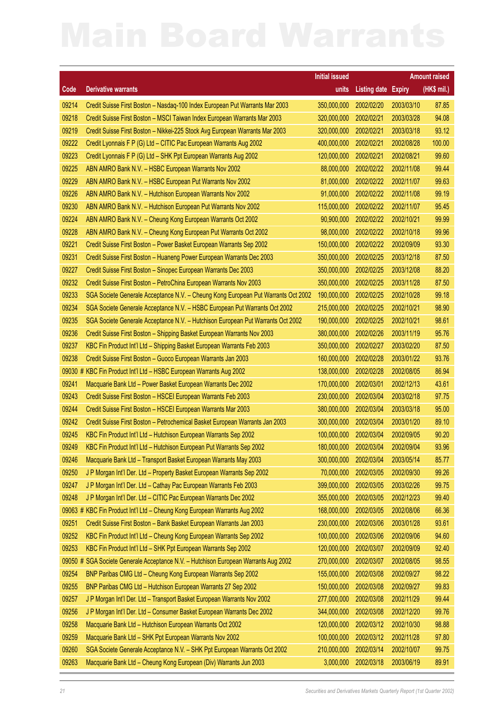|         |                                                                                     | <b>Initial issued</b> |                                   |               | <b>Amount raised</b> |
|---------|-------------------------------------------------------------------------------------|-----------------------|-----------------------------------|---------------|----------------------|
| Code    | <b>Derivative warrants</b>                                                          | units                 | <b>Listing date</b>               | <b>Expiry</b> | (HK\$ mil.)          |
| 09214   | Credit Suisse First Boston - Nasdaq-100 Index European Put Warrants Mar 2003        | 350,000,000           | 2002/02/20                        | 2003/03/10    | 87.85                |
| 09218   | Credit Suisse First Boston - MSCI Taiwan Index European Warrants Mar 2003           | 320,000,000           | 2002/02/21                        | 2003/03/28    | 94.08                |
| 09219   | Credit Suisse First Boston - Nikkei-225 Stock Avg European Warrants Mar 2003        | 320,000,000           | 2002/02/21                        | 2003/03/18    | 93.12                |
| 09222   | Credit Lyonnais F P (G) Ltd - CITIC Pac European Warrants Aug 2002                  | 400,000,000           | 2002/02/21                        | 2002/08/28    | 100.00               |
| 09223   | Credit Lyonnais F P (G) Ltd - SHK Ppt European Warrants Aug 2002                    | 120,000,000           | 2002/02/21                        | 2002/08/21    | 99.60                |
| 09225   | ABN AMRO Bank N.V. - HSBC European Warrants Nov 2002                                | 88,000,000            | 2002/02/22                        | 2002/11/08    | 99.44                |
| 09229   | ABN AMRO Bank N.V. - HSBC European Put Warrants Nov 2002                            | 81,000,000            | 2002/02/22                        | 2002/11/07    | 99.63                |
| 09226   | ABN AMRO Bank N.V. - Hutchison European Warrants Nov 2002                           | 91,000,000            | 2002/02/22                        | 2002/11/08    | 99.19                |
| 09230   | ABN AMRO Bank N.V. - Hutchison European Put Warrants Nov 2002                       | 115,000,000           | 2002/02/22                        | 2002/11/07    | 95.45                |
| 09224   | ABN AMRO Bank N.V. - Cheung Kong European Warrants Oct 2002                         | 90,900,000            | 2002/02/22                        | 2002/10/21    | 99.99                |
| 09228   | ABN AMRO Bank N.V. - Cheung Kong European Put Warrants Oct 2002                     | 98,000,000            | 2002/02/22                        | 2002/10/18    | 99.96                |
| 09221   | Credit Suisse First Boston - Power Basket European Warrants Sep 2002                | 150,000,000           | 2002/02/22                        | 2002/09/09    | 93.30                |
| 09231   | Credit Suisse First Boston - Huaneng Power European Warrants Dec 2003               | 350,000,000           | 2002/02/25                        | 2003/12/18    | 87.50                |
| 09227   | Credit Suisse First Boston - Sinopec European Warrants Dec 2003                     | 350,000,000           | 2002/02/25                        | 2003/12/08    | 88.20                |
| 09232   | Credit Suisse First Boston - PetroChina European Warrants Nov 2003                  | 350,000,000           | 2002/02/25                        | 2003/11/28    | 87.50                |
| 09233   | SGA Societe Generale Acceptance N.V. - Cheung Kong European Put Warrants Oct 2002   | 190,000,000           | 2002/02/25                        | 2002/10/28    | 99.18                |
| 09234   | SGA Societe Generale Acceptance N.V. - HSBC European Put Warrants Oct 2002          | 215,000,000           | 2002/02/25                        | 2002/10/21    | 98.90                |
| 09235   | SGA Societe Generale Acceptance N.V. - Hutchison European Put Warrants Oct 2002     | 190,000,000           | 2002/02/25                        | 2002/10/21    | 98.61                |
| 09236   | Credit Suisse First Boston - Shipping Basket European Warrants Nov 2003             | 380,000,000           | 2002/02/26                        | 2003/11/19    | 95.76                |
| 09237   | KBC Fin Product Int'l Ltd - Shipping Basket European Warrants Feb 2003              | 350,000,000           | 2002/02/27                        | 2003/02/20    | 87.50                |
| 09238   | Credit Suisse First Boston - Guoco European Warrants Jan 2003                       | 160,000,000           | 2002/02/28                        | 2003/01/22    | 93.76                |
| 09030 # | KBC Fin Product Int'l Ltd - HSBC European Warrants Aug 2002                         | 138,000,000           | 2002/02/28                        | 2002/08/05    | 86.94                |
| 09241   | Macquarie Bank Ltd - Power Basket European Warrants Dec 2002                        | 170,000,000           | 2002/03/01                        | 2002/12/13    | 43.61                |
| 09243   | Credit Suisse First Boston - HSCEI European Warrants Feb 2003                       | 230,000,000           | 2002/03/04                        | 2003/02/18    | 97.75                |
| 09244   | Credit Suisse First Boston - HSCEI European Warrants Mar 2003                       | 380,000,000           | 2002/03/04                        | 2003/03/18    | 95.00                |
| 09242   | Credit Suisse First Boston - Petrochemical Basket European Warrants Jan 2003        | 300,000,000           | 2002/03/04                        | 2003/01/20    | 89.10                |
| 09245   | KBC Fin Product Int'l Ltd - Hutchison European Warrants Sep 2002                    | 100,000,000           | 2002/03/04                        | 2002/09/05    | 90.20                |
| 09249   | KBC Fin Product Int'l Ltd - Hutchison European Put Warrants Sep 2002                |                       | 180,000,000 2002/03/04 2002/09/04 |               | 93.96                |
| 09246   | Macquarie Bank Ltd - Transport Basket European Warrants May 2003                    | 300,000,000           | 2002/03/04                        | 2003/05/14    | 85.77                |
| 09250   | J P Morgan Int'l Der. Ltd - Property Basket European Warrants Sep 2002              | 70,000,000            | 2002/03/05                        | 2002/09/30    | 99.26                |
| 09247   | J P Morgan Int'l Der. Ltd - Cathay Pac European Warrants Feb 2003                   | 399,000,000           | 2002/03/05                        | 2003/02/26    | 99.75                |
| 09248   | J P Morgan Int'l Der. Ltd - CITIC Pac European Warrants Dec 2002                    | 355,000,000           | 2002/03/05                        | 2002/12/23    | 99.40                |
|         | 09063 # KBC Fin Product Int'l Ltd - Cheung Kong European Warrants Aug 2002          | 168,000,000           | 2002/03/05                        | 2002/08/06    | 66.36                |
| 09251   | Credit Suisse First Boston - Bank Basket European Warrants Jan 2003                 | 230,000,000           | 2002/03/06                        | 2003/01/28    | 93.61                |
| 09252   | KBC Fin Product Int'l Ltd - Cheung Kong European Warrants Sep 2002                  | 100,000,000           | 2002/03/06                        | 2002/09/06    | 94.60                |
| 09253   | KBC Fin Product Int'l Ltd - SHK Ppt European Warrants Sep 2002                      | 120,000,000           | 2002/03/07                        | 2002/09/09    | 92.40                |
|         | 09050 # SGA Societe Generale Acceptance N.V. - Hutchison European Warrants Aug 2002 | 270,000,000           | 2002/03/07                        | 2002/08/05    | 98.55                |
| 09254   | BNP Paribas CMG Ltd - Cheung Kong European Warrants Sep 2002                        | 155,000,000           | 2002/03/08                        | 2002/09/27    | 98.22                |
| 09255   | BNP Paribas CMG Ltd - Hutchison European Warrants 27 Sep 2002                       | 150,000,000           | 2002/03/08                        | 2002/09/27    | 99.83                |
| 09257   | J P Morgan Int'l Der. Ltd - Transport Basket European Warrants Nov 2002             | 277,000,000           | 2002/03/08                        | 2002/11/29    | 99.44                |
| 09256   | J P Morgan Int'l Der. Ltd - Consumer Basket European Warrants Dec 2002              | 344,000,000           | 2002/03/08                        | 2002/12/20    | 99.76                |
| 09258   | Macquarie Bank Ltd - Hutchison European Warrants Oct 2002                           | 120,000,000           | 2002/03/12                        | 2002/10/30    | 98.88                |
| 09259   | Macquarie Bank Ltd - SHK Ppt European Warrants Nov 2002                             | 100,000,000           | 2002/03/12                        | 2002/11/28    | 97.80                |
| 09260   | SGA Societe Generale Acceptance N.V. - SHK Ppt European Warrants Oct 2002           | 210,000,000           | 2002/03/14                        | 2002/10/07    | 99.75                |
| 09263   | Macquarie Bank Ltd - Cheung Kong European (Div) Warrants Jun 2003                   | 3,000,000             | 2002/03/18                        | 2003/06/19    | 89.91                |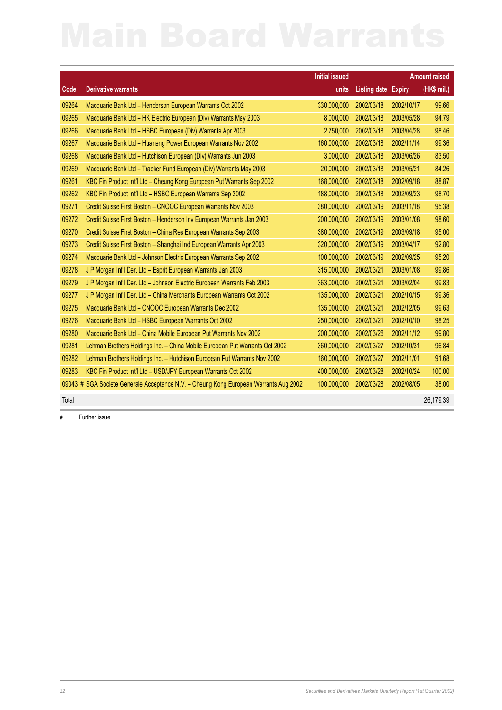|       |                                                                                       | <b>Initial issued</b> |                            |            | <b>Amount raised</b> |
|-------|---------------------------------------------------------------------------------------|-----------------------|----------------------------|------------|----------------------|
| Code  | <b>Derivative warrants</b>                                                            | units                 | <b>Listing date Expiry</b> |            | (HK\$ mil.)          |
| 09264 | Macquarie Bank Ltd - Henderson European Warrants Oct 2002                             | 330,000,000           | 2002/03/18                 | 2002/10/17 | 99.66                |
| 09265 | Macquarie Bank Ltd - HK Electric European (Div) Warrants May 2003                     | 8,000,000             | 2002/03/18                 | 2003/05/28 | 94.79                |
| 09266 | Macquarie Bank Ltd - HSBC European (Div) Warrants Apr 2003                            | 2,750,000             | 2002/03/18                 | 2003/04/28 | 98.46                |
| 09267 | Macquarie Bank Ltd - Huaneng Power European Warrants Nov 2002                         | 160,000,000           | 2002/03/18                 | 2002/11/14 | 99.36                |
| 09268 | Macquarie Bank Ltd - Hutchison European (Div) Warrants Jun 2003                       | 3,000,000             | 2002/03/18                 | 2003/06/26 | 83.50                |
| 09269 | Macquarie Bank Ltd - Tracker Fund European (Div) Warrants May 2003                    | 20,000,000            | 2002/03/18                 | 2003/05/21 | 84.26                |
| 09261 | KBC Fin Product Int'l Ltd - Cheung Kong European Put Warrants Sep 2002                | 168,000,000           | 2002/03/18                 | 2002/09/18 | 88.87                |
| 09262 | KBC Fin Product Int'l Ltd - HSBC European Warrants Sep 2002                           | 188,000,000           | 2002/03/18                 | 2002/09/23 | 98.70                |
| 09271 | Credit Suisse First Boston - CNOOC European Warrants Nov 2003                         | 380,000,000           | 2002/03/19                 | 2003/11/18 | 95.38                |
| 09272 | Credit Suisse First Boston - Henderson Inv European Warrants Jan 2003                 | 200,000,000           | 2002/03/19                 | 2003/01/08 | 98.60                |
| 09270 | Credit Suisse First Boston - China Res European Warrants Sep 2003                     | 380,000,000           | 2002/03/19                 | 2003/09/18 | 95.00                |
| 09273 | Credit Suisse First Boston - Shanghai Ind European Warrants Apr 2003                  | 320,000,000           | 2002/03/19                 | 2003/04/17 | 92.80                |
| 09274 | Macquarie Bank Ltd - Johnson Electric European Warrants Sep 2002                      | 100,000,000           | 2002/03/19                 | 2002/09/25 | 95.20                |
| 09278 | J P Morgan Int'l Der. Ltd - Esprit European Warrants Jan 2003                         | 315,000,000           | 2002/03/21                 | 2003/01/08 | 99.86                |
| 09279 | J P Morgan Int'l Der. Ltd - Johnson Electric European Warrants Feb 2003               | 363,000,000           | 2002/03/21                 | 2003/02/04 | 99.83                |
| 09277 | J P Morgan Int'l Der. Ltd - China Merchants European Warrants Oct 2002                | 135,000,000           | 2002/03/21                 | 2002/10/15 | 99.36                |
| 09275 | Macquarie Bank Ltd - CNOOC European Warrants Dec 2002                                 | 135,000,000           | 2002/03/21                 | 2002/12/05 | 99.63                |
| 09276 | Macquarie Bank Ltd - HSBC European Warrants Oct 2002                                  | 250,000,000           | 2002/03/21                 | 2002/10/10 | 98.25                |
| 09280 | Macquarie Bank Ltd - China Mobile European Put Warrants Nov 2002                      | 200,000,000           | 2002/03/26                 | 2002/11/12 | 99.80                |
| 09281 | Lehman Brothers Holdings Inc. - China Mobile European Put Warrants Oct 2002           | 360,000,000           | 2002/03/27                 | 2002/10/31 | 96.84                |
| 09282 | Lehman Brothers Holdings Inc. - Hutchison European Put Warrants Nov 2002              | 160,000,000           | 2002/03/27                 | 2002/11/01 | 91.68                |
| 09283 | KBC Fin Product Int'l Ltd - USD/JPY European Warrants Oct 2002                        | 400,000,000           | 2002/03/28                 | 2002/10/24 | 100.00               |
|       | 09043 # SGA Societe Generale Acceptance N.V. - Cheung Kong European Warrants Aug 2002 | 100,000,000           | 2002/03/28                 | 2002/08/05 | 38.00                |
| Total |                                                                                       |                       |                            |            | 26,179.39            |

# Further issue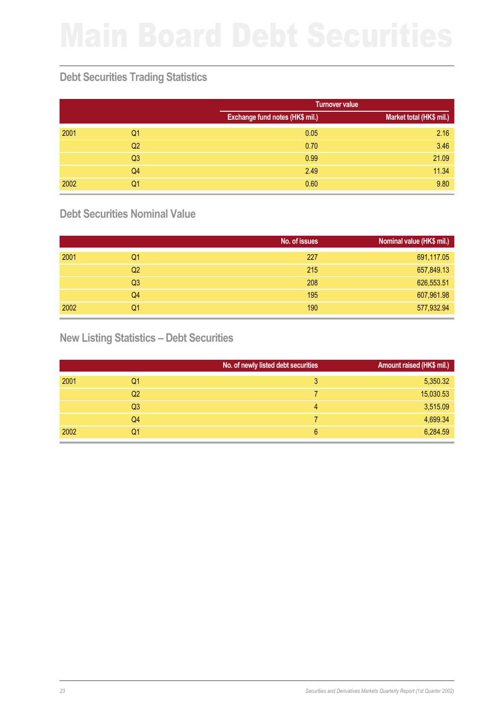## **Debt Securities Trading Statistics**

|      |                |                                 | <b>Turnover value</b>    |  |  |
|------|----------------|---------------------------------|--------------------------|--|--|
|      |                | Exchange fund notes (HK\$ mil.) | Market total (HK\$ mil.) |  |  |
| 2001 | Q <sub>1</sub> | 0.05                            | 2.16                     |  |  |
|      | Q <sub>2</sub> | 0.70                            | 3.46                     |  |  |
|      | Q <sub>3</sub> | 0.99                            | 21.09                    |  |  |
|      | Q <sub>4</sub> | 2.49                            | 11.34                    |  |  |
| 2002 | Q1             | 0.60                            | 9.80                     |  |  |

## **Debt Securities Nominal Value**

|      |                | No. of issues | Nominal value (HK\$ mil.) |
|------|----------------|---------------|---------------------------|
| 2001 | Q1             | 227           | 691,117.05                |
|      | Q <sub>2</sub> | 215           | 657,849.13                |
|      | Q <sub>3</sub> | 208           | 626,553.51                |
|      | Q4             | 195           | 607,961.98                |
| 2002 | Q1             | 190           | 577,932.94                |

## **New Listing Statistics – Debt Securities**

|      |                | No. of newly listed debt securities | Amount raised (HK\$ mil.) |
|------|----------------|-------------------------------------|---------------------------|
| 2001 | Q1             | 3                                   | 5,350.32                  |
|      | Q <sub>2</sub> |                                     | 15,030.53                 |
|      | Q <sub>3</sub> | 4                                   | 3,515.09                  |
|      | Q4             |                                     | 4,699.34                  |
| 2002 | Q1             | 6                                   | 6,284.59                  |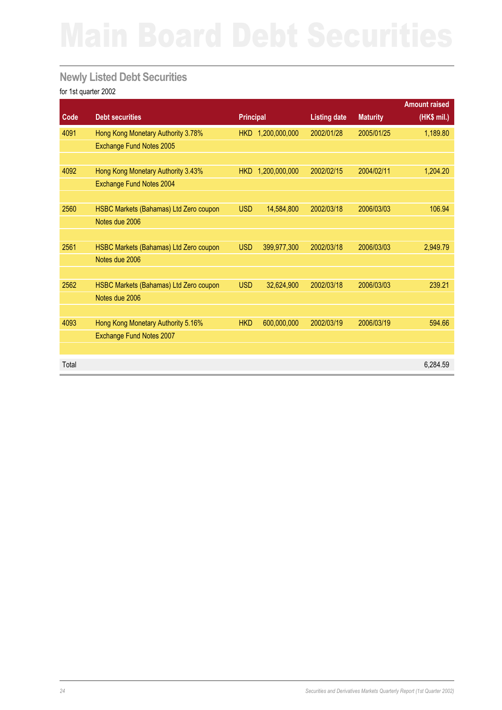## **Newly Listed Debt Securities**

|       |                                        |                  |                   |                     |                 | <b>Amount raised</b> |
|-------|----------------------------------------|------------------|-------------------|---------------------|-----------------|----------------------|
| Code  | <b>Debt securities</b>                 | <b>Principal</b> |                   | <b>Listing date</b> | <b>Maturity</b> | (HK\$ mil.)          |
| 4091  | Hong Kong Monetary Authority 3.78%     |                  | HKD 1,200,000,000 | 2002/01/28          | 2005/01/25      | 1,189.80             |
|       | Exchange Fund Notes 2005               |                  |                   |                     |                 |                      |
|       |                                        |                  |                   |                     |                 |                      |
| 4092  | Hong Kong Monetary Authority 3.43%     | <b>HKD</b>       | 1,200,000,000     | 2002/02/15          | 2004/02/11      | 1,204.20             |
|       | Exchange Fund Notes 2004               |                  |                   |                     |                 |                      |
|       |                                        |                  |                   |                     |                 |                      |
| 2560  | HSBC Markets (Bahamas) Ltd Zero coupon | <b>USD</b>       | 14,584,800        | 2002/03/18          | 2006/03/03      | 106.94               |
|       | Notes due 2006                         |                  |                   |                     |                 |                      |
|       |                                        |                  |                   |                     |                 |                      |
| 2561  | HSBC Markets (Bahamas) Ltd Zero coupon | <b>USD</b>       | 399,977,300       | 2002/03/18          | 2006/03/03      | 2,949.79             |
|       | Notes due 2006                         |                  |                   |                     |                 |                      |
|       |                                        |                  |                   |                     |                 |                      |
| 2562  | HSBC Markets (Bahamas) Ltd Zero coupon | <b>USD</b>       | 32,624,900        | 2002/03/18          | 2006/03/03      | 239.21               |
|       | Notes due 2006                         |                  |                   |                     |                 |                      |
|       |                                        |                  |                   |                     |                 |                      |
| 4093  | Hong Kong Monetary Authority 5.16%     | <b>HKD</b>       | 600,000,000       | 2002/03/19          | 2006/03/19      | 594.66               |
|       | Exchange Fund Notes 2007               |                  |                   |                     |                 |                      |
|       |                                        |                  |                   |                     |                 |                      |
| Total |                                        |                  |                   |                     |                 | 6.284.59             |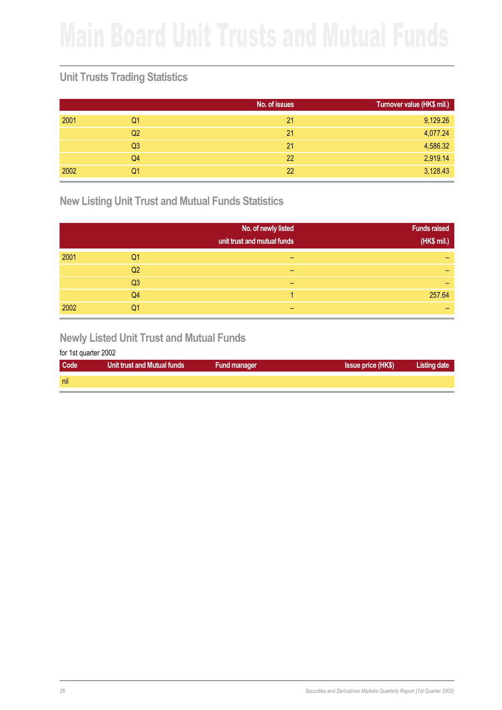## **Unit Trusts Trading Statistics**

|      |                | No. of issues | Turnover value (HK\$ mil.) |
|------|----------------|---------------|----------------------------|
| 2001 | Q1             | 21            | 9,129.26                   |
|      | Q <sub>2</sub> | 21            | 4,077.24                   |
|      | Q <sub>3</sub> | 21            | 4,586.32                   |
|      | Q4             | 22            | 2,919.14                   |
| 2002 | Q1             | 22            | 3,128.43                   |

**New Listing Unit Trust and Mutual Funds Statistics**

|      |                | No. of newly listed<br>unit trust and mutual funds | <b>Funds raised</b><br>(HK\$ mil.) |
|------|----------------|----------------------------------------------------|------------------------------------|
| 2001 | Q1             | -                                                  |                                    |
|      | Q <sub>2</sub> | -                                                  |                                    |
|      | Q <sub>3</sub> | -                                                  |                                    |
|      | Q <sub>4</sub> |                                                    | 257.64                             |
| 2002 | Q1             |                                                    |                                    |

### **Newly Listed Unit Trust and Mutual Funds**

| Code | <b>Unit trust and Mutual funds</b> | <b>Fund manager</b> | <b>Issue price (HK\$)</b> | <b>Listing date</b> |
|------|------------------------------------|---------------------|---------------------------|---------------------|
| nil  |                                    |                     |                           |                     |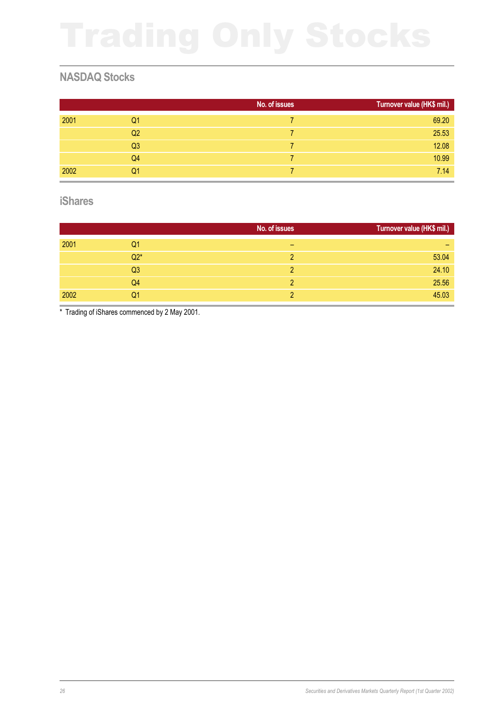## **NASDAQ Stocks**

|      |                | No. of issues | Turnover value (HK\$ mil.) |
|------|----------------|---------------|----------------------------|
| 2001 | Q1             |               | 69.20                      |
|      | Q <sub>2</sub> |               | 25.53                      |
|      | Q <sub>3</sub> |               | 12.08                      |
|      | Q4             |               | 10.99                      |
| 2002 | Q1             |               | 7.14                       |

### **iShares**

|      |                | No. of issues | Turnover value (HK\$ mil.) |
|------|----------------|---------------|----------------------------|
| 2001 | Q1             | -             | -                          |
|      | $Q2*$          |               | 53.04                      |
|      | Q <sub>3</sub> | 2             | 24.10                      |
|      | Q <sub>4</sub> | 2             | 25.56                      |
| 2002 | Q1             |               | 45.03                      |

\* Trading of iShares commenced by 2 May 2001.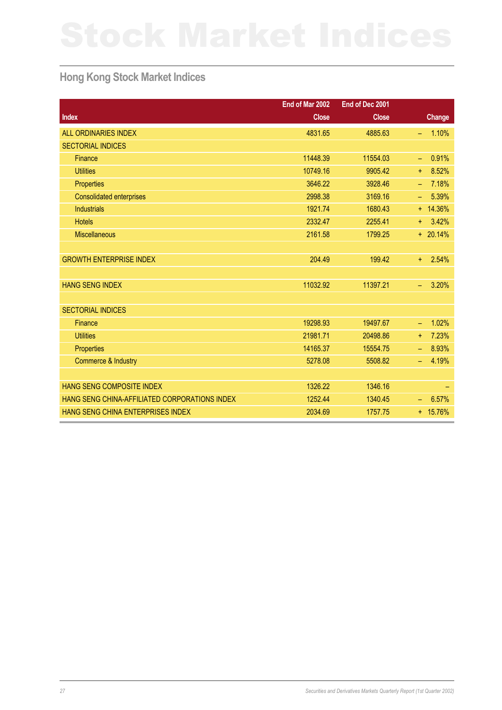## **Hong Kong Stock Market Indices**

|                                               | End of Mar 2002 | End of Dec 2001 |                    |
|-----------------------------------------------|-----------------|-----------------|--------------------|
| <b>Index</b>                                  | <b>Close</b>    | <b>Close</b>    | <b>Change</b>      |
| <b>ALL ORDINARIES INDEX</b>                   | 4831.65         | 4885.63         | 1.10%<br>÷         |
| <b>SECTORIAL INDICES</b>                      |                 |                 |                    |
| Finance                                       | 11448.39        | 11554.03        | 0.91%<br>$\equiv$  |
| <b>Utilities</b>                              | 10749.16        | 9905.42         | 8.52%<br>$+$       |
| Properties                                    | 3646.22         | 3928.46         | 7.18%<br>$\equiv$  |
| <b>Consolidated enterprises</b>               | 2998.38         | 3169.16         | 5.39%<br>÷         |
| <b>Industrials</b>                            | 1921.74         | 1680.43         | $+ 14.36\%$        |
| <b>Hotels</b>                                 | 2332.47         | 2255.41         | 3.42%<br>$+$       |
| <b>Miscellaneous</b>                          | 2161.58         | 1799.25         | $+ 20.14%$         |
|                                               |                 |                 |                    |
| <b>GROWTH ENTERPRISE INDEX</b>                | 204.49          | 199.42          | 2.54%<br>$\ddot{}$ |
|                                               |                 |                 |                    |
| <b>HANG SENG INDEX</b>                        | 11032.92        | 11397.21        | 3.20%<br>÷,        |
|                                               |                 |                 |                    |
| <b>SECTORIAL INDICES</b>                      |                 |                 |                    |
| <b>Finance</b>                                | 19298.93        | 19497.67        | 1.02%<br>$\equiv$  |
| <b>Utilities</b>                              | 21981.71        | 20498.86        | 7.23%<br>$+$       |
| Properties                                    | 14165.37        | 15554.75        | 8.93%<br>$\equiv$  |
| Commerce & Industry                           | 5278.08         | 5508.82         | 4.19%<br>÷         |
|                                               |                 |                 |                    |
| <b>HANG SENG COMPOSITE INDEX</b>              | 1326.22         | 1346.16         |                    |
| HANG SENG CHINA-AFFILIATED CORPORATIONS INDEX | 1252.44         | 1340.45         | 6.57%<br>÷,        |
| HANG SENG CHINA ENTERPRISES INDEX             | 2034.69         | 1757.75         | $+ 15.76%$         |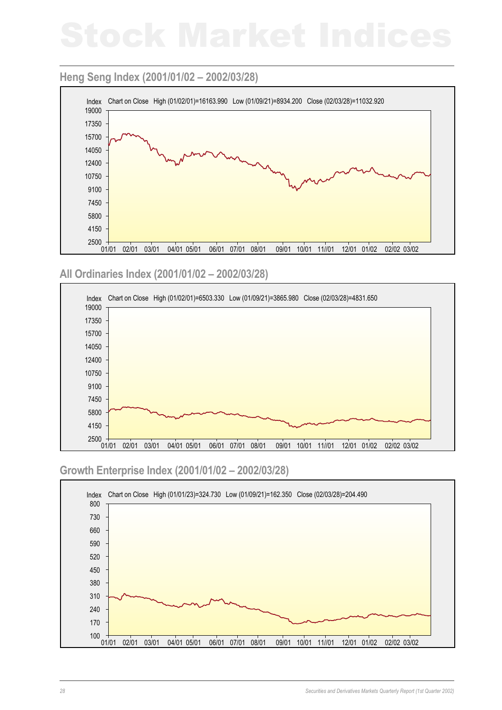### **Heng Seng Index (2001/01/02 – 2002/03/28)**



### **All Ordinaries Index (2001/01/02 – 2002/03/28)**



### **Growth Enterprise Index (2001/01/02 – 2002/03/28)**

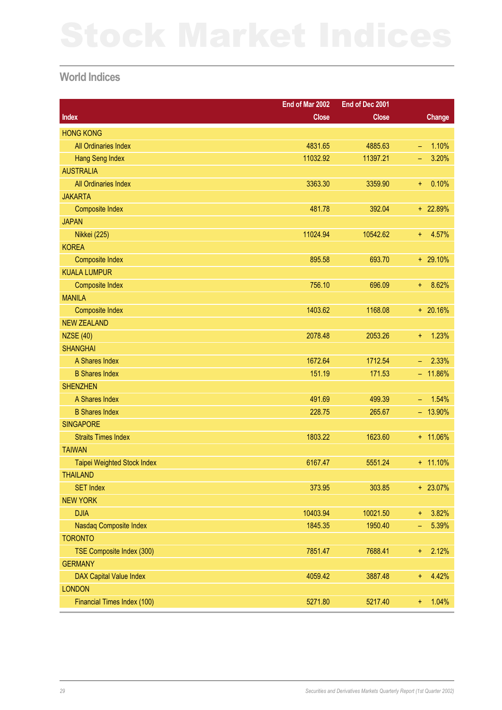### **World Indices**

|                                    | End of Mar 2002 | End of Dec 2001 |                          |               |
|------------------------------------|-----------------|-----------------|--------------------------|---------------|
| <b>Index</b>                       | <b>Close</b>    | <b>Close</b>    |                          | <b>Change</b> |
| <b>HONG KONG</b>                   |                 |                 |                          |               |
| All Ordinaries Index               | 4831.65         | 4885.63         | $\equiv$                 | 1.10%         |
| <b>Hang Seng Index</b>             | 11032.92        | 11397.21        | -                        | 3.20%         |
| <b>AUSTRALIA</b>                   |                 |                 |                          |               |
| All Ordinaries Index               | 3363.30         | 3359.90         | ł,                       | 0.10%         |
| <b>JAKARTA</b>                     |                 |                 |                          |               |
| <b>Composite Index</b>             | 481.78          | 392.04          |                          | + 22.89%      |
| <b>JAPAN</b>                       |                 |                 |                          |               |
| <b>Nikkei (225)</b>                | 11024.94        | 10542.62        | +                        | 4.57%         |
| <b>KOREA</b>                       |                 |                 |                          |               |
| <b>Composite Index</b>             | 895.58          | 693.70          |                          | $+ 29.10%$    |
| <b>KUALA LUMPUR</b>                |                 |                 |                          |               |
| <b>Composite Index</b>             | 756.10          | 696.09          | +                        | 8.62%         |
| <b>MANILA</b>                      |                 |                 |                          |               |
| <b>Composite Index</b>             | 1403.62         | 1168.08         |                          | $+ 20.16%$    |
| <b>NEW ZEALAND</b>                 |                 |                 |                          |               |
| <b>NZSE (40)</b>                   | 2078.48         | 2053.26         | ł,                       | 1.23%         |
| <b>SHANGHAI</b>                    |                 |                 |                          |               |
| A Shares Index                     | 1672.64         | 1712.54         | $\overline{\phantom{m}}$ | 2.33%         |
| <b>B Shares Index</b>              | 151.19          | 171.53          |                          | $-11.86%$     |
| <b>SHENZHEN</b>                    |                 |                 |                          |               |
| A Shares Index                     | 491.69          | 499.39          | $\equiv$                 | 1.54%         |
| <b>B Shares Index</b>              | 228.75          | 265.67          |                          | $-13.90%$     |
| <b>SINGAPORE</b>                   |                 |                 |                          |               |
| <b>Straits Times Index</b>         | 1803.22         | 1623.60         |                          | + 11.06%      |
| <b>TAIWAN</b>                      |                 |                 |                          |               |
| <b>Taipei Weighted Stock Index</b> | 6167.47         | 5551.24         |                          | $+ 11.10%$    |
| <b>THAILAND</b>                    |                 |                 |                          |               |
| <b>SET Index</b>                   | 373.95          | 303.85          |                          | $+ 23.07%$    |
| <b>NEW YORK</b>                    |                 |                 |                          |               |
| <b>DJIA</b>                        | 10403.94        | 10021.50        | ÷.                       | 3.82%         |
| Nasdaq Composite Index             | 1845.35         | 1950.40         | ÷                        | 5.39%         |
| <b>TORONTO</b>                     |                 |                 |                          |               |
| TSE Composite Index (300)          | 7851.47         | 7688.41         | $\ddagger$               | 2.12%         |
| <b>GERMANY</b>                     |                 |                 |                          |               |
| <b>DAX Capital Value Index</b>     | 4059.42         | 3887.48         | ł,                       | 4.42%         |
| <b>LONDON</b>                      |                 |                 |                          |               |
| Financial Times Index (100)        | 5271.80         | 5217.40         | Ŧ,                       | 1.04%         |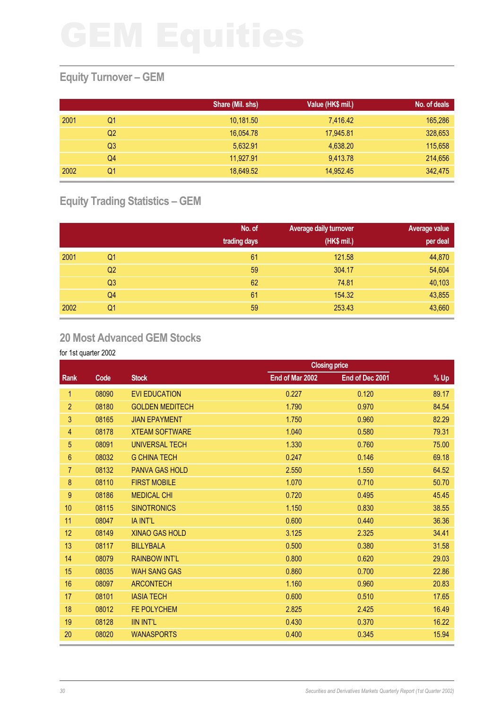# **Equity Turnover – GEM**

|      |    | Share (Mil. shs) | Value (HK\$ mil.) | No. of deals |
|------|----|------------------|-------------------|--------------|
| 2001 | Q1 | 10,181.50        | 7,416.42          | 165,286      |
|      | Q2 | 16,054.78        | 17,945.81         | 328,653      |
|      | Q3 | 5,632.91         | 4,638.20          | 115,658      |
|      | Q4 | 11.927.91        | 9,413.78          | 214,656      |
| 2002 | Q1 | 18.649.52        | 14,952.45         | 342,475      |

# **Equity Trading Statistics – GEM**

|      |                | No. of<br>trading days | Average daily turnover<br>(HK\$ mil.) | Average value<br>per deal |
|------|----------------|------------------------|---------------------------------------|---------------------------|
| 2001 | Q <sub>1</sub> | 61                     | 121.58                                | 44,870                    |
|      | Q <sub>2</sub> | 59                     | 304.17                                | 54,604                    |
|      | Q <sub>3</sub> | 62                     | 74.81                                 | 40,103                    |
|      | Q4             | 61                     | 154.32                                | 43,855                    |
| 2002 | Q1             | 59                     | 253.43                                | 43,660                    |

### **20 Most Advanced GEM Stocks**

|                  |       |                        |                 | <b>Closing price</b> |       |
|------------------|-------|------------------------|-----------------|----------------------|-------|
| Rank             | Code  | <b>Stock</b>           | End of Mar 2002 | End of Dec 2001      | % Up  |
| 1.               | 08090 | <b>EVI EDUCATION</b>   | 0.227           | 0.120                | 89.17 |
| $\overline{2}$   | 08180 | <b>GOLDEN MEDITECH</b> | 1.790           | 0.970                | 84.54 |
| 3                | 08165 | <b>JIAN EPAYMENT</b>   | 1.750           | 0.960                | 82.29 |
| 4                | 08178 | <b>XTEAM SOFTWARE</b>  | 1.040           | 0.580                | 79.31 |
| 5                | 08091 | <b>UNIVERSAL TECH</b>  | 1.330           | 0.760                | 75.00 |
| 6                | 08032 | <b>G CHINA TECH</b>    | 0.247           | 0.146                | 69.18 |
| $\overline{7}$   | 08132 | <b>PANVA GAS HOLD</b>  | 2.550           | 1.550                | 64.52 |
| $\boldsymbol{8}$ | 08110 | <b>FIRST MOBILE</b>    | 1.070           | 0.710                | 50.70 |
| $\boldsymbol{9}$ | 08186 | <b>MEDICAL CHI</b>     | 0.720           | 0.495                | 45.45 |
| 10               | 08115 | <b>SINOTRONICS</b>     | 1.150           | 0.830                | 38.55 |
| 11               | 08047 | IA INT'L               | 0.600           | 0.440                | 36.36 |
| 12               | 08149 | <b>XINAO GAS HOLD</b>  | 3.125           | 2.325                | 34.41 |
| 13               | 08117 | <b>BILLYBALA</b>       | 0.500           | 0.380                | 31.58 |
| 14               | 08079 | <b>RAINBOW INT'L</b>   | 0.800           | 0.620                | 29.03 |
| 15               | 08035 | <b>WAH SANG GAS</b>    | 0.860           | 0.700                | 22.86 |
| 16               | 08097 | <b>ARCONTECH</b>       | 1.160           | 0.960                | 20.83 |
| 17               | 08101 | <b>IASIA TECH</b>      | 0.600           | 0.510                | 17.65 |
| 18               | 08012 | FE POLYCHEM            | 2.825           | 2.425                | 16.49 |
| 19               | 08128 | <b>IIN INT'L</b>       | 0.430           | 0.370                | 16.22 |
| 20               | 08020 | <b>WANASPORTS</b>      | 0.400           | 0.345                | 15.94 |
|                  |       |                        |                 |                      |       |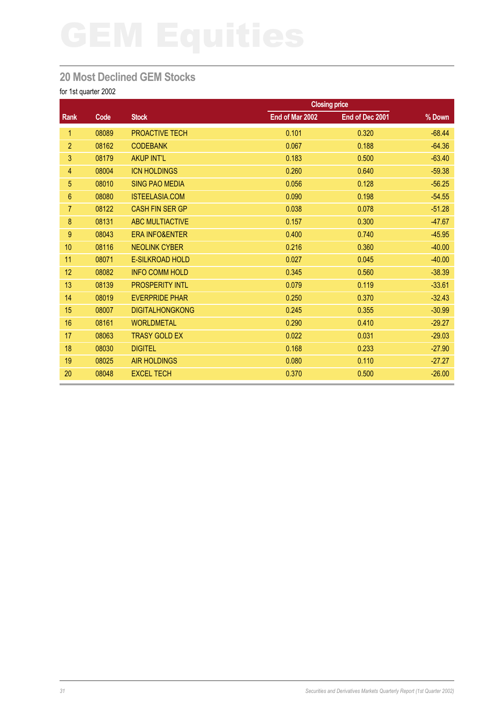# **20 Most Declined GEM Stocks**

|                |       |                           |                 | <b>Closing price</b> |          |
|----------------|-------|---------------------------|-----------------|----------------------|----------|
| <b>Rank</b>    | Code  | <b>Stock</b>              | End of Mar 2002 | End of Dec 2001      | % Down   |
| 1              | 08089 | <b>PROACTIVE TECH</b>     | 0.101           | 0.320                | $-68.44$ |
| $\overline{2}$ | 08162 | <b>CODEBANK</b>           | 0.067           | 0.188                | $-64.36$ |
| 3              | 08179 | <b>AKUP INT'L</b>         | 0.183           | 0.500                | $-63.40$ |
| 4              | 08004 | <b>ICN HOLDINGS</b>       | 0.260           | 0.640                | $-59.38$ |
| 5              | 08010 | <b>SING PAO MEDIA</b>     | 0.056           | 0.128                | $-56.25$ |
| 6              | 08080 | <b>ISTEELASIA.COM</b>     | 0.090           | 0.198                | $-54.55$ |
| $\overline{7}$ | 08122 | <b>CASH FIN SER GP</b>    | 0.038           | 0.078                | $-51.28$ |
| 8              | 08131 | <b>ABC MULTIACTIVE</b>    | 0.157           | 0.300                | $-47.67$ |
| 9              | 08043 | <b>ERA INFO&amp;ENTER</b> | 0.400           | 0.740                | $-45.95$ |
| 10             | 08116 | <b>NEOLINK CYBER</b>      | 0.216           | 0.360                | $-40.00$ |
| 11             | 08071 | E-SILKROAD HOLD           | 0.027           | 0.045                | $-40.00$ |
| 12             | 08082 | <b>INFO COMM HOLD</b>     | 0.345           | 0.560                | $-38.39$ |
| 13             | 08139 | <b>PROSPERITY INTL</b>    | 0.079           | 0.119                | $-33.61$ |
| 14             | 08019 | <b>EVERPRIDE PHAR</b>     | 0.250           | 0.370                | $-32.43$ |
| 15             | 08007 | <b>DIGITALHONGKONG</b>    | 0.245           | 0.355                | $-30.99$ |
| 16             | 08161 | <b>WORLDMETAL</b>         | 0.290           | 0.410                | $-29.27$ |
| 17             | 08063 | <b>TRASY GOLD EX</b>      | 0.022           | 0.031                | $-29.03$ |
| 18             | 08030 | <b>DIGITEL</b>            | 0.168           | 0.233                | $-27.90$ |
| 19             | 08025 | <b>AIR HOLDINGS</b>       | 0.080           | 0.110                | $-27.27$ |
| 20             | 08048 | <b>EXCEL TECH</b>         | 0.370           | 0.500                | $-26.00$ |
|                |       |                           |                 |                      |          |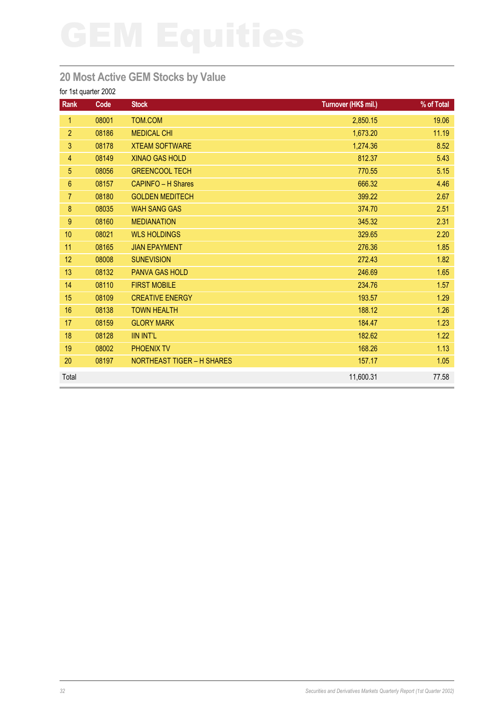# **20 Most Active GEM Stocks by Value**

| Rank            | Code  | <b>Stock</b>                      | Turnover (HK\$ mil.) | % of Total |
|-----------------|-------|-----------------------------------|----------------------|------------|
| $\mathbf{1}$    | 08001 | TOM.COM                           | 2,850.15             | 19.06      |
| $\overline{2}$  | 08186 | <b>MEDICAL CHI</b>                | 1,673.20             | 11.19      |
| 3               | 08178 | <b>XTEAM SOFTWARE</b>             | 1,274.36             | 8.52       |
| $\overline{4}$  | 08149 | <b>XINAO GAS HOLD</b>             | 812.37               | 5.43       |
| $\overline{5}$  | 08056 | <b>GREENCOOL TECH</b>             | 770.55               | 5.15       |
| $6\phantom{.}6$ | 08157 | <b>CAPINFO - H Shares</b>         | 666.32               | 4.46       |
| $\overline{7}$  | 08180 | <b>GOLDEN MEDITECH</b>            | 399.22               | 2.67       |
| $\bf 8$         | 08035 | <b>WAH SANG GAS</b>               | 374.70               | 2.51       |
| 9               | 08160 | <b>MEDIANATION</b>                | 345.32               | 2.31       |
| 10              | 08021 | <b>WLS HOLDINGS</b>               | 329.65               | 2.20       |
| 11              | 08165 | <b>JIAN EPAYMENT</b>              | 276.36               | 1.85       |
| 12              | 08008 | <b>SUNEVISION</b>                 | 272.43               | 1.82       |
| 13              | 08132 | <b>PANVA GAS HOLD</b>             | 246.69               | 1.65       |
| 14              | 08110 | <b>FIRST MOBILE</b>               | 234.76               | 1.57       |
| 15              | 08109 | <b>CREATIVE ENERGY</b>            | 193.57               | 1.29       |
| 16              | 08138 | <b>TOWN HEALTH</b>                | 188.12               | 1.26       |
| 17              | 08159 | <b>GLORY MARK</b>                 | 184.47               | 1.23       |
| 18              | 08128 | <b>IIN INT'L</b>                  | 182.62               | 1.22       |
| 19              | 08002 | <b>PHOENIX TV</b>                 | 168.26               | 1.13       |
| 20              | 08197 | <b>NORTHEAST TIGER - H SHARES</b> | 157.17               | 1.05       |
| Total           |       |                                   | 11,600.31            | 77.58      |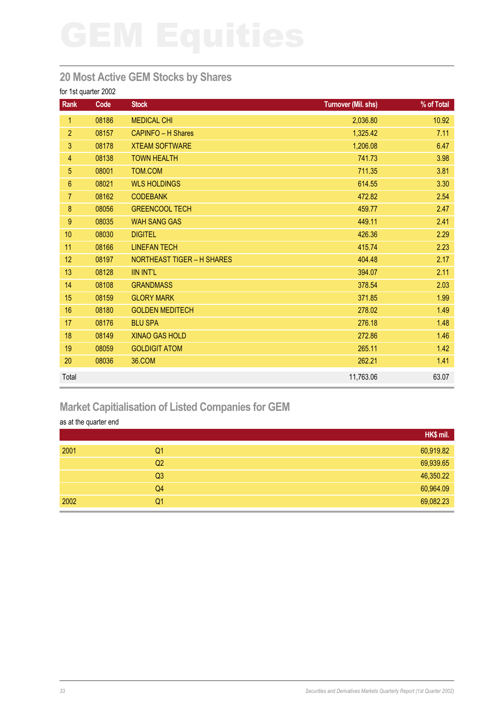## **20 Most Active GEM Stocks by Shares**

### for 1st quarter 2002

| <b>Rank</b>     | Code  | <b>Stock</b>                      | <b>Turnover (Mil. shs)</b> | % of Total |
|-----------------|-------|-----------------------------------|----------------------------|------------|
| 1               | 08186 | <b>MEDICAL CHI</b>                | 2,036.80                   | 10.92      |
| $\overline{2}$  | 08157 | <b>CAPINFO - H Shares</b>         | 1,325.42                   | 7.11       |
| 3               | 08178 | <b>XTEAM SOFTWARE</b>             | 1,206.08                   | 6.47       |
| $\overline{4}$  | 08138 | <b>TOWN HEALTH</b>                | 741.73                     | 3.98       |
| 5               | 08001 | TOM.COM                           | 711.35                     | 3.81       |
| $6\phantom{.}6$ | 08021 | <b>WLS HOLDINGS</b>               | 614.55                     | 3.30       |
| $\overline{7}$  | 08162 | <b>CODEBANK</b>                   | 472.82                     | 2.54       |
| $\bf 8$         | 08056 | <b>GREENCOOL TECH</b>             | 459.77                     | 2.47       |
| 9               | 08035 | <b>WAH SANG GAS</b>               | 449.11                     | 2.41       |
| 10              | 08030 | <b>DIGITEL</b>                    | 426.36                     | 2.29       |
| 11              | 08166 | <b>LINEFAN TECH</b>               | 415.74                     | 2.23       |
| 12              | 08197 | <b>NORTHEAST TIGER - H SHARES</b> | 404.48                     | 2.17       |
| 13              | 08128 | <b>IIN INT'L</b>                  | 394.07                     | 2.11       |
| 14              | 08108 | <b>GRANDMASS</b>                  | 378.54                     | 2.03       |
| 15              | 08159 | <b>GLORY MARK</b>                 | 371.85                     | 1.99       |
| 16              | 08180 | <b>GOLDEN MEDITECH</b>            | 278.02                     | 1.49       |
| 17              | 08176 | <b>BLU SPA</b>                    | 276.18                     | 1.48       |
| 18              | 08149 | <b>XINAO GAS HOLD</b>             | 272.86                     | 1.46       |
| 19              | 08059 | <b>GOLDIGIT ATOM</b>              | 265.11                     | 1.42       |
| 20              | 08036 | 36.COM                            | 262.21                     | 1.41       |
| Total           |       |                                   | 11,763.06                  | 63.07      |

# **Market Capitialisation of Listed Companies for GEM**

### as at the quarter end

|                | HK\$ mil. |
|----------------|-----------|
| 2001<br>Q1     | 60,919.82 |
| Q2             | 69,939.65 |
| Q <sub>3</sub> | 46,350.22 |
| Q4             | 60,964.09 |
| 2002<br>Q1     | 69,082.23 |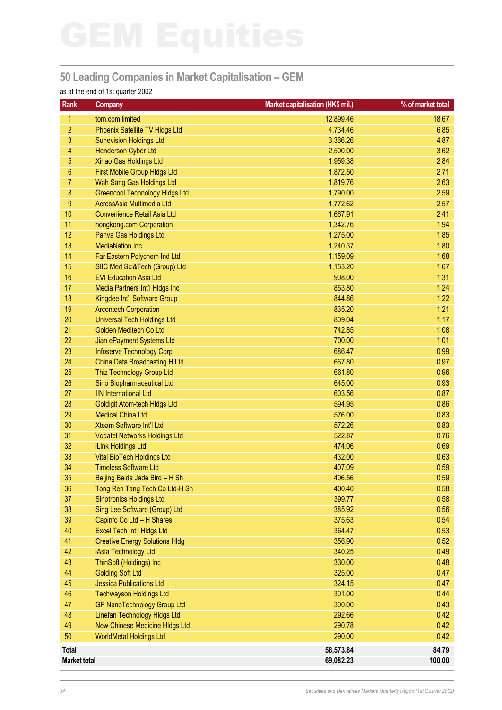# **50 Leading Companies in Market Capitalisation – GEM**

### as at the end of 1st quarter 2002

| Rank                | <b>Company</b>                                             | Market capitalisation (HK\$ mil.) | % of market total |
|---------------------|------------------------------------------------------------|-----------------------------------|-------------------|
| 1.                  | tom.com limited                                            | 12,899.46                         | 18.67             |
| $\overline{2}$      | <b>Phoenix Satellite TV Hldgs Ltd</b>                      | 4,734.46                          | 6.85              |
| 3                   | <b>Sunevision Holdings Ltd</b>                             | 3,366.26                          | 4.87              |
| 4                   | Henderson Cyber Ltd                                        | 2,500.00                          | 3.62              |
| 5                   | Xinao Gas Holdings Ltd                                     | 1,959.38                          | 2.84              |
| 6                   | First Mobile Group HIdgs Ltd                               | 1,872.50                          | 2.71              |
| 7                   | Wah Sang Gas Holdings Ltd                                  | 1,819.76                          | 2.63              |
| 8                   | <b>Greencool Technology Hidgs Ltd</b>                      | 1,790.00                          | 2.59              |
| $\boldsymbol{9}$    | AcrossAsia Multimedia Ltd                                  | 1,772.62                          | 2.57              |
| 10                  | <b>Convenience Retail Asia Ltd</b>                         | 1,667.91                          | 2.41              |
| 11                  | hongkong.com Corporation                                   | 1,342.76                          | 1.94              |
| 12                  | Panva Gas Holdings Ltd                                     | 1,275.00                          | 1.85              |
| 13                  | <b>MediaNation Inc</b>                                     | 1,240.37                          | 1.80              |
| 14                  | Far Eastern Polychem Ind Ltd                               | 1,159.09                          | 1.68              |
| 15                  | SIIC Med Sci&Tech (Group) Ltd                              | 1,153.20                          | 1.67              |
| 16                  | <b>EVI Education Asia Ltd</b>                              | 908.00                            | 1.31              |
| 17                  | Media Partners Int'l Hldgs Inc                             | 853.80                            | 1.24              |
| 18                  | Kingdee Int'l Software Group                               | 844.86                            | 1.22              |
| 19                  | <b>Arcontech Corporation</b>                               | 835.20                            | 1.21              |
| 20                  | <b>Universal Tech Holdings Ltd</b>                         | 809.04                            | 1.17              |
| 21                  | <b>Golden Meditech Co Ltd</b>                              | 742.85                            | 1.08              |
| 22                  | Jian ePayment Systems Ltd                                  | 700.00                            | 1.01              |
| 23                  | Infoserve Technology Corp                                  | 686.47                            | 0.99              |
| 24                  | China Data Broadcasting H Ltd                              | 667.80                            | 0.97              |
| 25                  | Thiz Technology Group Ltd                                  | 661.80                            | 0.96              |
| 26                  | Sino Biopharmaceutical Ltd                                 | 645.00                            | 0.93              |
| 27                  | <b>IIN International Ltd</b>                               | 603.56                            | 0.87              |
| 28                  | Goldigit Atom-tech HIdgs Ltd                               | 594.95                            | 0.86              |
| 29                  | <b>Medical China Ltd</b>                                   | 576.00                            | 0.83              |
| 30                  | Xteam Software Int'l Ltd                                   | 572.26                            | 0.83              |
| 31                  | <b>Vodatel Networks Holdings Ltd</b>                       | 522.87                            | 0.76              |
| 32                  | iLink Holdings Ltd                                         | 474.06                            | 0.69              |
| 33                  | Vital BioTech Holdings Ltd                                 | 432.00                            | 0.63              |
| 34                  | <b>Timeless Software Ltd</b>                               | 407.09                            | 0.59              |
| 35                  | Beijing Beida Jade Bird - H Sh                             | 406.56                            | 0.59              |
| 36                  | Tong Ren Tang Tech Co Ltd-H Sh                             | 400.40                            | 0.58              |
| 37                  | <b>Sinotronics Holdings Ltd</b>                            | 399.77                            | 0.58              |
| 38                  | Sing Lee Software (Group) Ltd                              | 385.92                            | 0.56              |
| 39                  | Capinfo Co Ltd - H Shares                                  | 375.63                            | 0.54              |
| 40                  | Excel Tech Int'l Hidgs Ltd                                 | 364.47                            | 0.53              |
| 41                  | <b>Creative Energy Solutions HIdg</b>                      | 356.90                            | 0.52              |
| 42                  | iAsia Technology Ltd                                       | 340.25                            | 0.49              |
| 43                  | ThinSoft (Holdings) Inc                                    | 330.00                            | 0.48              |
| 44<br>45            | <b>Golding Soft Ltd</b><br><b>Jessica Publications Ltd</b> | 325.00                            | 0.47              |
| 46                  | <b>Techwayson Holdings Ltd</b>                             | 324.15<br>301.00                  | 0.47<br>0.44      |
| 47                  | <b>GP NanoTechnology Group Ltd</b>                         | 300.00                            | 0.43              |
| 48                  | Linefan Technology Hldgs Ltd                               | 292.66                            | 0.42              |
| 49                  | New Chinese Medicine HIdgs Ltd                             | 290.78                            | 0.42              |
| 50                  | <b>WorldMetal Holdings Ltd</b>                             | 290.00                            | 0.42              |
|                     |                                                            |                                   |                   |
| Total               |                                                            | 58,573.84                         | 84.79             |
| <b>Market total</b> |                                                            | 69,082.23                         | 100.00            |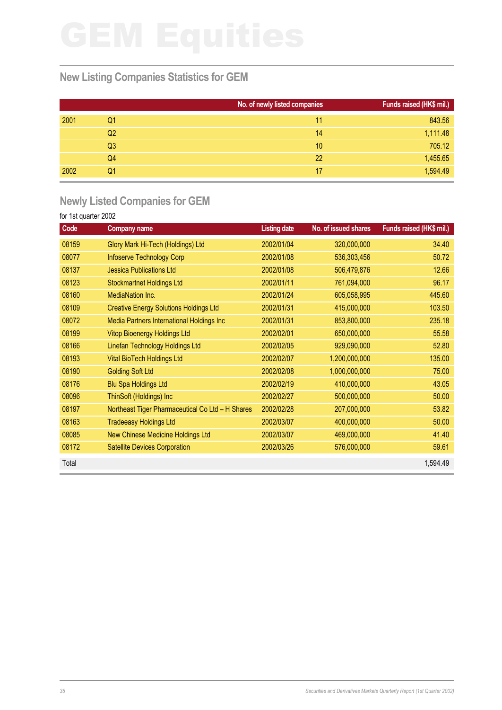## **New Listing Companies Statistics for GEM**

|      |                | No. of newly listed companies | Funds raised (HK\$ mil.) |
|------|----------------|-------------------------------|--------------------------|
| 2001 | Q1             | 11                            | 843.56                   |
|      | Q <sub>2</sub> | 14                            | 1,111.48                 |
|      | Q <sub>3</sub> | 10                            | 705.12                   |
|      | Q4             | 22                            | 1,455.65                 |
| 2002 | Q1             | 17                            | 1,594.49                 |

# **Newly Listed Companies for GEM**

| Code  | <b>Company name</b>                              | <b>Listing date</b> | No. of issued shares | Funds raised (HK\$ mil.) |
|-------|--------------------------------------------------|---------------------|----------------------|--------------------------|
| 08159 | Glory Mark Hi-Tech (Holdings) Ltd                | 2002/01/04          | 320,000,000          | 34.40                    |
| 08077 | Infoserve Technology Corp                        | 2002/01/08          | 536,303,456          | 50.72                    |
| 08137 | <b>Jessica Publications Ltd</b>                  | 2002/01/08          | 506,479,876          | 12.66                    |
| 08123 | <b>Stockmartnet Holdings Ltd</b>                 | 2002/01/11          | 761,094,000          | 96.17                    |
| 08160 | <b>MediaNation Inc.</b>                          | 2002/01/24          | 605,058,995          | 445.60                   |
| 08109 | <b>Creative Energy Solutions Holdings Ltd</b>    | 2002/01/31          | 415,000,000          | 103.50                   |
| 08072 | Media Partners International Holdings Inc        | 2002/01/31          | 853,800,000          | 235.18                   |
| 08199 | <b>Vitop Bioenergy Holdings Ltd</b>              | 2002/02/01          | 650,000,000          | 55.58                    |
| 08166 | Linefan Technology Holdings Ltd                  | 2002/02/05          | 929,090,000          | 52.80                    |
| 08193 | <b>Vital BioTech Holdings Ltd</b>                | 2002/02/07          | 1,200,000,000        | 135.00                   |
| 08190 | <b>Golding Soft Ltd</b>                          | 2002/02/08          | 1,000,000,000        | 75.00                    |
| 08176 | <b>Blu Spa Holdings Ltd</b>                      | 2002/02/19          | 410,000,000          | 43.05                    |
| 08096 | ThinSoft (Holdings) Inc                          | 2002/02/27          | 500,000,000          | 50.00                    |
| 08197 | Northeast Tiger Pharmaceutical Co Ltd - H Shares | 2002/02/28          | 207,000,000          | 53.82                    |
| 08163 | <b>Tradeeasy Holdings Ltd</b>                    | 2002/03/07          | 400,000,000          | 50.00                    |
| 08085 | New Chinese Medicine Holdings Ltd                | 2002/03/07          | 469,000,000          | 41.40                    |
| 08172 | <b>Satellite Devices Corporation</b>             | 2002/03/26          | 576,000,000          | 59.61                    |
| Total |                                                  |                     |                      | 1,594.49                 |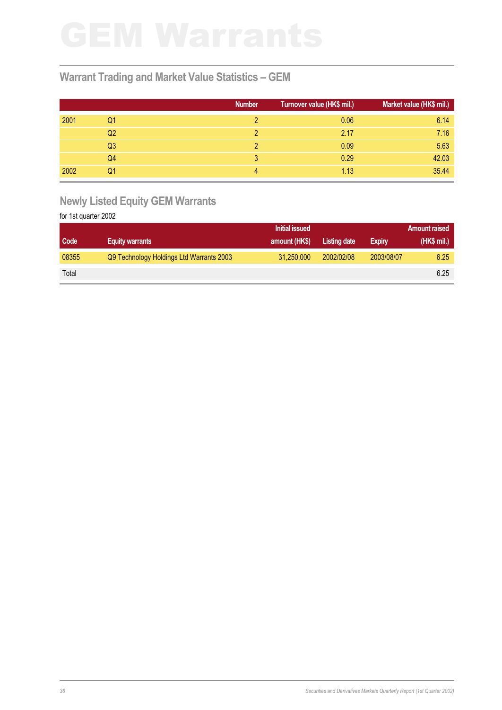## **Warrant Trading and Market Value Statistics – GEM**

|      |                | <b>Number</b> | Turnover value (HK\$ mil.) | Market value (HK\$ mil.) |
|------|----------------|---------------|----------------------------|--------------------------|
| 2001 | Q1             |               | 0.06                       | 6.14                     |
|      | Q2             |               | 2.17                       | 7.16                     |
|      | Q <sub>3</sub> |               | 0.09                       | 5.63                     |
|      | Q4             | 3             | 0.29                       | 42.03                    |
| 2002 | Q1             | 4             | 1.13                       | 35.44                    |

# **Newly Listed Equity GEM Warrants**

|       |                                          | <b>Initial issued</b> |              | <b>Amount raised</b> |            |
|-------|------------------------------------------|-----------------------|--------------|----------------------|------------|
| Code  | <b>Equity warrants</b>                   | amount (HK\$)         | Listing date | <b>Expiry</b>        | (HK\$ mi.) |
| 08355 | Q9 Technology Holdings Ltd Warrants 2003 | 31.250,000            | 2002/02/08   | 2003/08/07           | 6.25       |
| Total |                                          |                       |              |                      | 6.25       |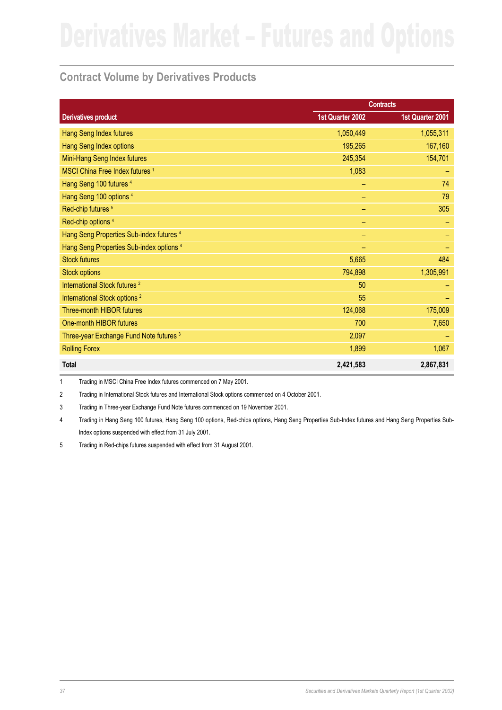## **Contract Volume by Derivatives Products**

|                                            | <b>Contracts</b> |                  |
|--------------------------------------------|------------------|------------------|
| <b>Derivatives product</b>                 | 1st Quarter 2002 | 1st Quarter 2001 |
| Hang Seng Index futures                    | 1,050,449        | 1,055,311        |
| Hang Seng Index options                    | 195,265          | 167,160          |
| Mini-Hang Seng Index futures               | 245,354          | 154,701          |
| MSCI China Free Index futures <sup>1</sup> | 1,083            |                  |
| Hang Seng 100 futures 4                    |                  | 74               |
| Hang Seng 100 options <sup>4</sup>         |                  | 79               |
| Red-chip futures <sup>5</sup>              | -                | 305              |
| Red-chip options <sup>4</sup>              | -                |                  |
| Hang Seng Properties Sub-index futures 4   | -                |                  |
| Hang Seng Properties Sub-index options 4   |                  |                  |
| <b>Stock futures</b>                       | 5,665            | 484              |
| <b>Stock options</b>                       | 794,898          | 1,305,991        |
| International Stock futures <sup>2</sup>   | 50               |                  |
| International Stock options <sup>2</sup>   | 55               |                  |
| <b>Three-month HIBOR futures</b>           | 124,068          | 175,009          |
| One-month HIBOR futures                    | 700              | 7,650            |
| Three-year Exchange Fund Note futures 3    | 2,097            |                  |
| <b>Rolling Forex</b>                       | 1,899            | 1,067            |
| <b>Total</b>                               | 2,421,583        | 2,867,831        |

1 Trading in MSCI China Free Index futures commenced on 7 May 2001.

2 Trading in International Stock futures and International Stock options commenced on 4 October 2001.

3 Trading in Three-year Exchange Fund Note futures commenced on 19 November 2001.

4 Trading in Hang Seng 100 futures, Hang Seng 100 options, Red-chips options, Hang Seng Properties Sub-Index futures and Hang Seng Properties Sub-Index options suspended with effect from 31 July 2001.

5 Trading in Red-chips futures suspended with effect from 31 August 2001.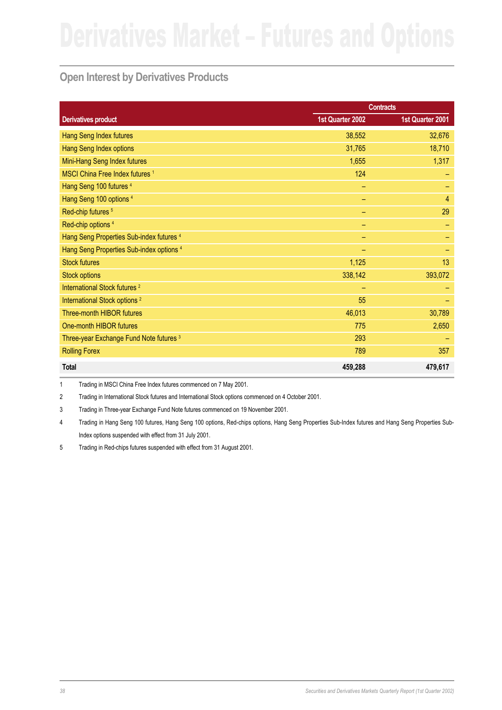# **Open Interest by Derivatives Products**

|                                            | <b>Contracts</b> |                  |
|--------------------------------------------|------------------|------------------|
| <b>Derivatives product</b>                 | 1st Quarter 2002 | 1st Quarter 2001 |
| Hang Seng Index futures                    | 38,552           | 32,676           |
| Hang Seng Index options                    | 31,765           | 18,710           |
| Mini-Hang Seng Index futures               | 1,655            | 1,317            |
| MSCI China Free Index futures <sup>1</sup> | 124              |                  |
| Hang Seng 100 futures <sup>4</sup>         | -                |                  |
| Hang Seng 100 options <sup>4</sup>         |                  | 4                |
| Red-chip futures <sup>5</sup>              | -                | 29               |
| Red-chip options <sup>4</sup>              |                  |                  |
| Hang Seng Properties Sub-index futures 4   |                  |                  |
| Hang Seng Properties Sub-index options 4   |                  |                  |
| <b>Stock futures</b>                       | 1,125            | 13               |
| <b>Stock options</b>                       | 338,142          | 393,072          |
| International Stock futures <sup>2</sup>   |                  |                  |
| International Stock options <sup>2</sup>   | 55               |                  |
| Three-month HIBOR futures                  | 46,013           | 30,789           |
| One-month HIBOR futures                    | 775              | 2,650            |
| Three-year Exchange Fund Note futures 3    | 293              |                  |
| <b>Rolling Forex</b>                       | 789              | 357              |
| <b>Total</b>                               | 459,288          | 479,617          |

1 Trading in MSCI China Free Index futures commenced on 7 May 2001.

2 Trading in International Stock futures and International Stock options commenced on 4 October 2001.

3 Trading in Three-year Exchange Fund Note futures commenced on 19 November 2001.

4 Trading in Hang Seng 100 futures, Hang Seng 100 options, Red-chips options, Hang Seng Properties Sub-Index futures and Hang Seng Properties Sub-Index options suspended with effect from 31 July 2001.

5 Trading in Red-chips futures suspended with effect from 31 August 2001.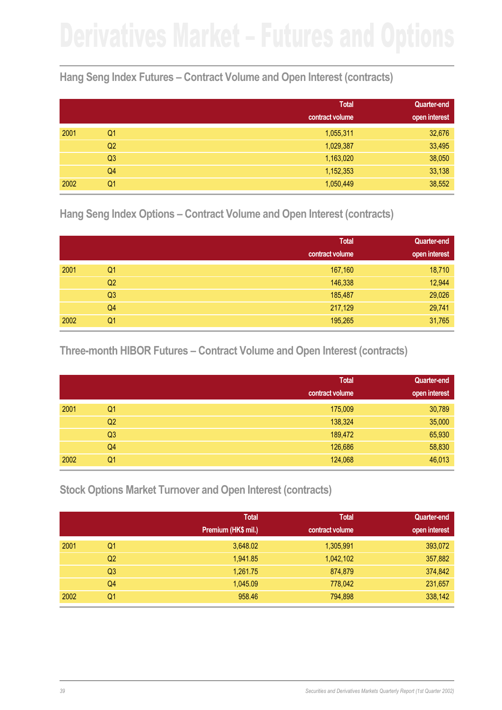## **Hang Seng Index Futures – Contract Volume and Open Interest (contracts)**

|      |                | <b>Total</b>    | <b>Quarter-end</b> |
|------|----------------|-----------------|--------------------|
|      |                | contract volume | open interest      |
| 2001 | Q1             | 1,055,311       | 32,676             |
|      | Q <sub>2</sub> | 1,029,387       | 33,495             |
|      | Q <sub>3</sub> | 1,163,020       | 38,050             |
|      | Q4             | 1,152,353       | 33,138             |
| 2002 | Q1             | 1,050,449       | 38,552             |

**Hang Seng Index Options – Contract Volume and Open Interest (contracts)**

|      |                | <b>Total</b>    | <b>Quarter-end</b> |
|------|----------------|-----------------|--------------------|
|      |                | contract volume | open interest      |
| 2001 | Q <sub>1</sub> | 167,160         | 18,710             |
|      | Q2             | 146,338         | 12,944             |
|      | Q3             | 185,487         | 29,026             |
|      | Q4             | 217,129         | 29,741             |
| 2002 | Q1             | 195,265         | 31,765             |

**Three-month HIBOR Futures – Contract Volume and Open Interest (contracts)**

|      |                | <b>Total</b>    | <b>Quarter-end</b> |
|------|----------------|-----------------|--------------------|
|      |                | contract volume | open interest      |
| 2001 | Q <sub>1</sub> | 175,009         | 30,789             |
|      | Q2             | 138,324         | 35,000             |
|      | Q3             | 189,472         | 65,930             |
|      | Q4             | 126,686         | 58,830             |
| 2002 | Q1             | 124,068         | 46,013             |

**Stock Options Market Turnover and Open Interest (contracts)**

|      |                | <b>Total</b>        | <b>Total</b>    | <b>Quarter-end</b> |
|------|----------------|---------------------|-----------------|--------------------|
|      |                | Premium (HK\$ mil.) | contract volume | open interest      |
| 2001 | Q <sub>1</sub> | 3,648.02            | 1,305,991       | 393,072            |
|      | Q2             | 1,941.85            | 1,042,102       | 357,882            |
|      | Q3             | 1,261.75            | 874,879         | 374,842            |
|      | Q4             | 1,045.09            | 778,042         | 231,657            |
| 2002 | Q1             | 958.46              | 794,898         | 338,142            |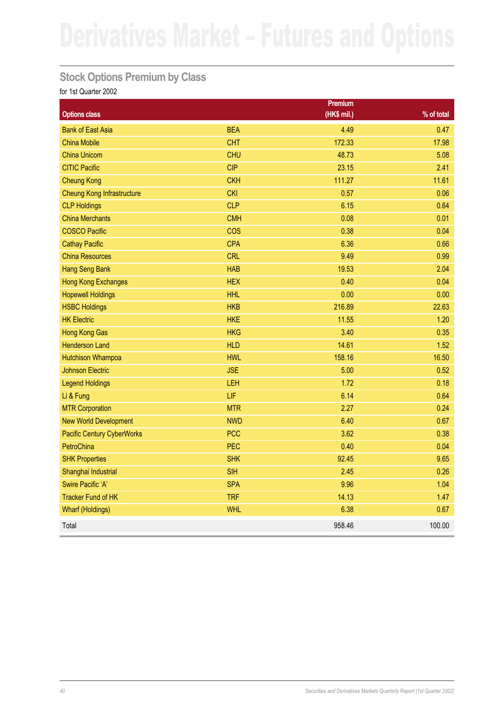## **Stock Options Premium by Class**

|                                   |            | Premium     |              |
|-----------------------------------|------------|-------------|--------------|
| <b>Options class</b>              |            | (HK\$ mil.) | $%$ of total |
| <b>Bank of East Asia</b>          | <b>BEA</b> | 4.49        | 0.47         |
| <b>China Mobile</b>               | <b>CHT</b> | 172.33      | 17.98        |
| <b>China Unicom</b>               | <b>CHU</b> | 48.73       | 5.08         |
| <b>CITIC Pacific</b>              | <b>CIP</b> | 23.15       | 2.41         |
| <b>Cheung Kong</b>                | <b>CKH</b> | 111.27      | 11.61        |
| <b>Cheung Kong Infrastructure</b> | <b>CKI</b> | 0.57        | 0.06         |
| <b>CLP Holdings</b>               | <b>CLP</b> | 6.15        | 0.64         |
| <b>China Merchants</b>            | <b>CMH</b> | 0.08        | 0.01         |
| <b>COSCO Pacific</b>              | <b>COS</b> | 0.38        | 0.04         |
| <b>Cathay Pacific</b>             | <b>CPA</b> | 6.36        | 0.66         |
| <b>China Resources</b>            | <b>CRL</b> | 9.49        | 0.99         |
| <b>Hang Seng Bank</b>             | <b>HAB</b> | 19.53       | 2.04         |
| <b>Hong Kong Exchanges</b>        | <b>HEX</b> | 0.40        | 0.04         |
| <b>Hopewell Holdings</b>          | <b>HHL</b> | 0.00        | 0.00         |
| <b>HSBC Holdings</b>              | <b>HKB</b> | 216.89      | 22.63        |
| <b>HK Electric</b>                | <b>HKE</b> | 11.55       | 1.20         |
| <b>Hong Kong Gas</b>              | <b>HKG</b> | 3.40        | 0.35         |
| <b>Henderson Land</b>             | <b>HLD</b> | 14.61       | 1.52         |
| <b>Hutchison Whampoa</b>          | <b>HWL</b> | 158.16      | 16.50        |
| <b>Johnson Electric</b>           | <b>JSE</b> | 5.00        | 0.52         |
| <b>Legend Holdings</b>            | LEH        | 1.72        | 0.18         |
| Li & Fung                         | LIF        | 6.14        | 0.64         |
| <b>MTR Corporation</b>            | <b>MTR</b> | 2.27        | 0.24         |
| <b>New World Development</b>      | <b>NWD</b> | 6.40        | 0.67         |
| <b>Pacific Century CyberWorks</b> | <b>PCC</b> | 3.62        | 0.38         |
| PetroChina                        | <b>PEC</b> | 0.40        | 0.04         |
| <b>SHK Properties</b>             | <b>SHK</b> | 92.45       | 9.65         |
| Shanghai Industrial               | <b>SIH</b> | 2.45        | 0.26         |
| <b>Swire Pacific 'A'</b>          | <b>SPA</b> | 9.96        | 1.04         |
| <b>Tracker Fund of HK</b>         | <b>TRF</b> | 14.13       | 1.47         |
| <b>Wharf (Holdings)</b>           | <b>WHL</b> | 6.38        | 0.67         |
| Total                             |            | 958.46      | 100.00       |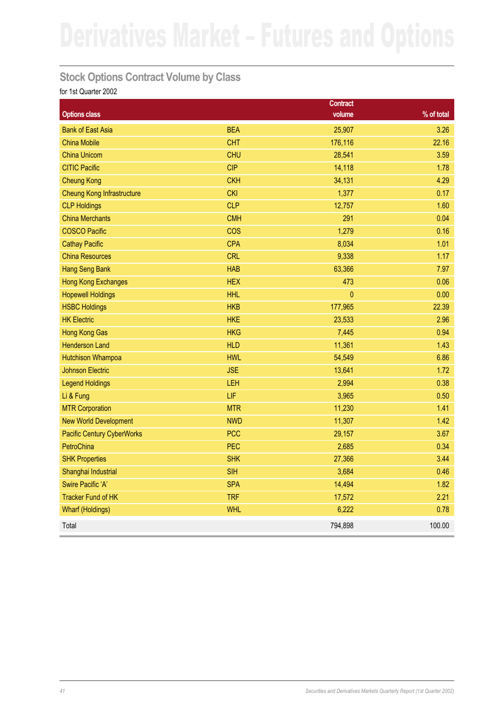## **Stock Options Contract Volume by Class**

|                                   |            | <b>Contract</b> |              |
|-----------------------------------|------------|-----------------|--------------|
| <b>Options class</b>              |            | volume          | $%$ of total |
| <b>Bank of East Asia</b>          | <b>BEA</b> | 25,907          | 3.26         |
| <b>China Mobile</b>               | <b>CHT</b> | 176,116         | 22.16        |
| <b>China Unicom</b>               | <b>CHU</b> | 28,541          | 3.59         |
| <b>CITIC Pacific</b>              | <b>CIP</b> | 14,118          | 1.78         |
| <b>Cheung Kong</b>                | <b>CKH</b> | 34,131          | 4.29         |
| <b>Cheung Kong Infrastructure</b> | <b>CKI</b> | 1,377           | 0.17         |
| <b>CLP Holdings</b>               | <b>CLP</b> | 12,757          | 1.60         |
| <b>China Merchants</b>            | <b>CMH</b> | 291             | 0.04         |
| <b>COSCO Pacific</b>              | <b>COS</b> | 1,279           | 0.16         |
| <b>Cathay Pacific</b>             | <b>CPA</b> | 8,034           | 1.01         |
| <b>China Resources</b>            | <b>CRL</b> | 9,338           | 1.17         |
| <b>Hang Seng Bank</b>             | <b>HAB</b> | 63,366          | 7.97         |
| <b>Hong Kong Exchanges</b>        | <b>HEX</b> | 473             | 0.06         |
| <b>Hopewell Holdings</b>          | <b>HHL</b> | $\overline{0}$  | 0.00         |
| <b>HSBC Holdings</b>              | <b>HKB</b> | 177,965         | 22.39        |
| <b>HK Electric</b>                | <b>HKE</b> | 23,533          | 2.96         |
| <b>Hong Kong Gas</b>              | <b>HKG</b> | 7,445           | 0.94         |
| <b>Henderson Land</b>             | <b>HLD</b> | 11,361          | 1.43         |
| <b>Hutchison Whampoa</b>          | <b>HWL</b> | 54,549          | 6.86         |
| <b>Johnson Electric</b>           | <b>JSE</b> | 13,641          | 1.72         |
| <b>Legend Holdings</b>            | LEH        | 2,994           | 0.38         |
| Li & Fung                         | LIF        | 3,965           | 0.50         |
| <b>MTR Corporation</b>            | <b>MTR</b> | 11,230          | 1.41         |
| <b>New World Development</b>      | <b>NWD</b> | 11,307          | 1.42         |
| <b>Pacific Century CyberWorks</b> | <b>PCC</b> | 29,157          | 3.67         |
| PetroChina                        | PEC        | 2,685           | 0.34         |
| <b>SHK Properties</b>             | <b>SHK</b> | 27,366          | 3.44         |
| Shanghai Industrial               | <b>SIH</b> | 3,684           | 0.46         |
| Swire Pacific 'A'                 | <b>SPA</b> | 14,494          | 1.82         |
| <b>Tracker Fund of HK</b>         | <b>TRF</b> | 17,572          | 2.21         |
| <b>Wharf (Holdings)</b>           | <b>WHL</b> | 6,222           | 0.78         |
| Total                             |            | 794,898         | 100.00       |